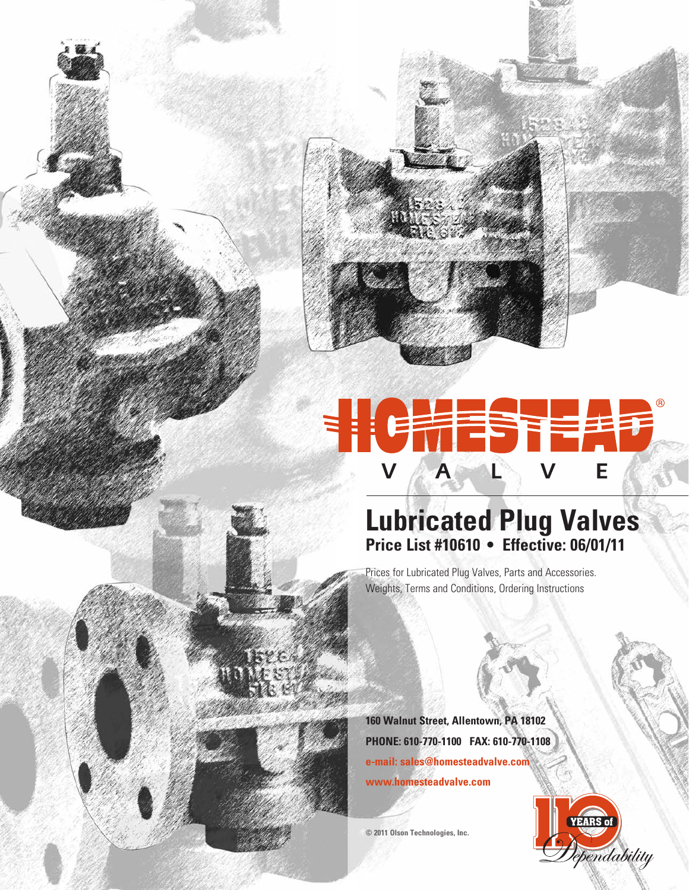

# HCHESTEAD

## **Lubricated Plug Valves Price List #10610 • Effective: 06/01/11**

Prices for Lubricated Plug Valves, Parts and Accessories. Weights, Terms and Conditions, Ordering Instructions

**160 Walnut Street, Allentown, PA 18102 PHONE: 610-770-1100 FAX: 610-770-1108 e-mail: sales@homesteadvalve.com www.homesteadvalve.com**

**© 2011 Olson Technologies, Inc.**

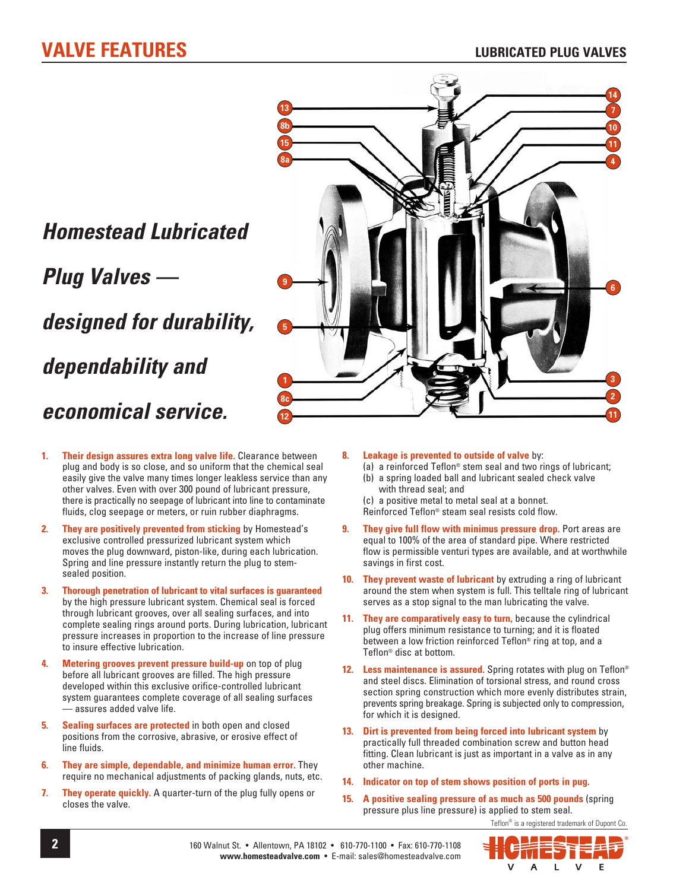



- **1. Their design assures extra long valve life.** Clearance between plug and body is so close, and so uniform that the chemical seal easily give the valve many times longer leakless service than any other valves. Even with over 300 pound of lubricant pressure, there is practically no seepage of lubricant into line to contaminate fluids, clog seepage or meters, or ruin rubber diaphragms.
- **2. They are positively prevented from sticking** by Homestead's exclusive controlled pressurized lubricant system which moves the plug downward, piston-like, during each lubrication. Spring and line pressure instantly return the plug to stemsealed position.
- **3. Thorough penetration of lubricant to vital surfaces is guaranteed** by the high pressure lubricant system. Chemical seal is forced through lubricant grooves, over all sealing surfaces, and into complete sealing rings around ports. During lubrication, lubricant pressure increases in proportion to the increase of line pressure to insure effective lubrication.
- **4. Metering grooves prevent pressure build-up** on top of plug before all lubricant grooves are filled. The high pressure developed within this exclusive orifice-controlled lubricant system guarantees complete coverage of all sealing surfaces — assures added valve life.
- **5. Sealing surfaces are protected** in both open and closed positions from the corrosive, abrasive, or erosive effect of line fluids.
- **6. They are simple, dependable, and minimize human error.** They require no mechanical adjustments of packing glands, nuts, etc.
- **7. They operate quickly.** A quarter-turn of the plug fully opens or closes the valve.
- **8. Leakage is prevented to outside of valve** by:
	- (a) a reinforced Teflon® stem seal and two rings of lubricant; (b) a spring loaded ball and lubricant sealed check valve
	- with thread seal; and (c) a positive metal to metal seal at a bonnet.

Reinforced Teflon® steam seal resists cold flow.

- **9. They give full flow with minimus pressure drop.** Port areas are equal to 100% of the area of standard pipe. Where restricted flow is permissible venturi types are available, and at worthwhile savings in first cost.
- **10. They prevent waste of lubricant** by extruding a ring of lubricant around the stem when system is full. This telltale ring of lubricant serves as a stop signal to the man lubricating the valve.
- **11. They are comparatively easy to turn,** because the cylindrical plug offers minimum resistance to turning; and it is floated between a low friction reinforced Teflon<sup>®</sup> ring at top, and a Teflon® disc at bottom.
- **12. Less maintenance is assured.** Spring rotates with plug on Teflon® and steel discs. Elimination of torsional stress, and round cross section spring construction which more evenly distributes strain, prevents spring breakage. Spring is subjected only to compression, for which it is designed.
- **13. Dirt is prevented from being forced into lubricant system** by practically full threaded combination screw and button head fitting. Clean lubricant is just as important in a valve as in any other machine.
- **14. Indicator on top of stem shows position of ports in pug.**
- **15. A positive sealing pressure of as much as 500 pounds** (spring pressure plus line pressure) is applied to stem seal.

Teflon<sup>®</sup> is a registered trademark of Dupont Co.

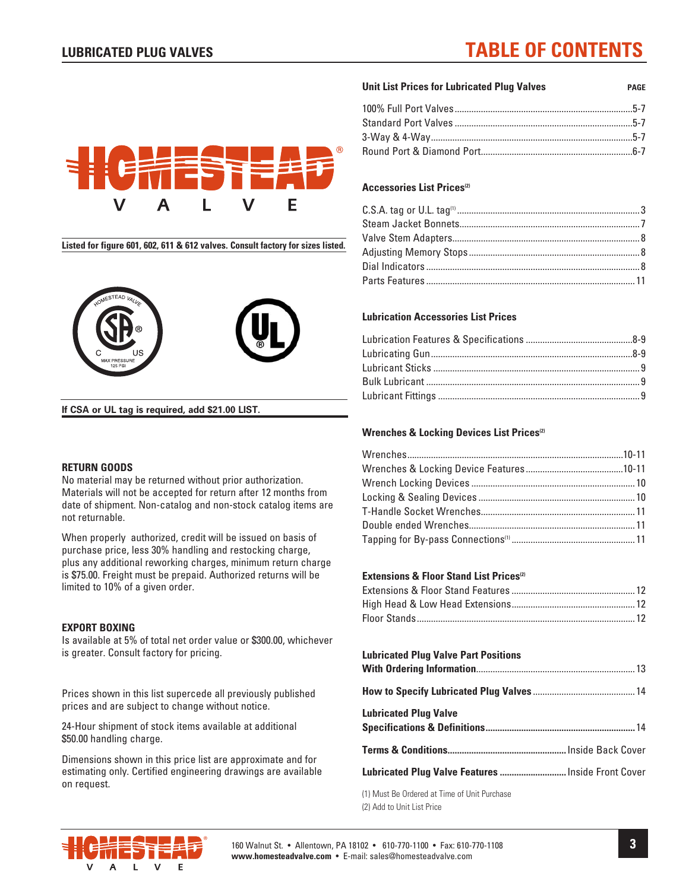## **LUBRICATED PLUG VALVES TABLE OF CONTENTS**

## F

**Listed for figure 601, 602, 611 & 612 valves. Consult factory for sizes listed.**



**If CSA or UL tag is required, add \$21.00 LIST.**

#### **RETURN GOODS**

No material may be returned without prior authorization. Materials will not be accepted for return after 12 months from date of shipment. Non-catalog and non-stock catalog items are not returnable.

When properly authorized, credit will be issued on basis of purchase price, less 30% handling and restocking charge, plus any additional reworking charges, minimum return charge is \$75.00. Freight must be prepaid. Authorized returns will be limited to 10% of a given order.

#### **EXPORT BOXING**

Is available at 5% of total net order value or \$300.00, whichever is greater. Consult factory for pricing.

Prices shown in this list supercede all previously published prices and are subject to change without notice.

24-Hour shipment of stock items available at additional \$50.00 handling charge.

Dimensions shown in this price list are approximate and for estimating only. Certified engineering drawings are available on request.

#### **Unit List Prices for Lubricated Plug Valves page**

#### **Accessories List Prices(2)**

#### **Lubrication Accessories List Prices**

#### **Wrenches & Locking Devices List Prices(2)**

#### **Extensions & Floor Stand List Prices**<sup>(2)</sup>

#### **Lubricated Plug Valve Part Positions With Ordering Information**...................................................................13 **How to Specify Lubricated Plug Valves** ...........................................14 **Lubricated Plug Valve Specifications & Definitions ...............................................................**14 **Terms & Conditions ..................................................**Inside Back Cover **Lubricated Plug Valve Features ............................**Inside Front Cover

(1) Must Be Ordered at Time of Unit Purchase (2) Add to Unit List Price

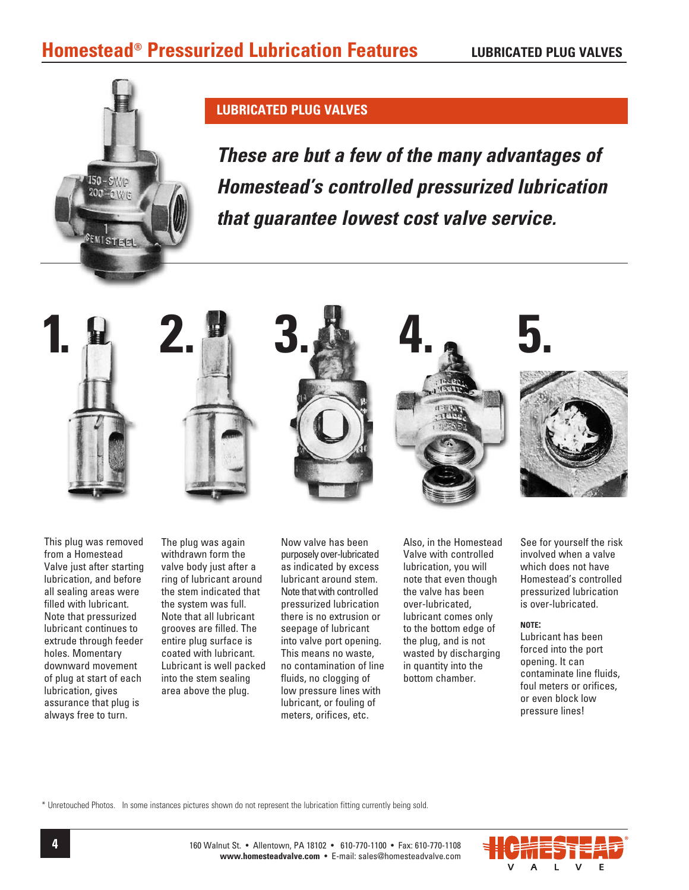

#### **LUBRICATED PLUG VALVES**

*These are but a few of the many advantages of Homestead's controlled pressurized lubrication that guarantee lowest cost valve service.*



 This plug was removed from a Homestead Valve just after starting lubrication, and before all sealing areas were filled with lubricant. Note that pressurized lubricant continues to extrude through feeder holes. Momentary downward movement of plug at start of each lubrication, gives assurance that plug is always free to turn.

 The plug was again withdrawn form the valve body just after a ring of lubricant around the stem indicated that the system was full. Note that all lubricant grooves are filled. The entire plug surface is coated with lubricant. Lubricant is well packed into the stem sealing area above the plug.

Now valve has been purposely over-lubricated as indicated by excess lubricant around stem. Note that with controlled pressurized lubrication there is no extrusion or seepage of lubricant into valve port opening. This means no waste, no contamination of line fluids, no clogging of low pressure lines with lubricant, or fouling of meters, orifices, etc.

 Also, in the Homestead Valve with controlled lubrication, you will note that even though the valve has been over-lubricated, lubricant comes only to the bottom edge of the plug, and is not wasted by discharging in quantity into the bottom chamber.

 See for yourself the risk involved when a valve which does not have Homestead's controlled pressurized lubrication is over-lubricated.

#### **note:**

Lubricant has been forced into the port opening. It can contaminate line fluids, foul meters or orifices, or even block low pressure lines!

\* Unretouched Photos. In some instances pictures shown do not represent the lubrication fitting currently being sold.

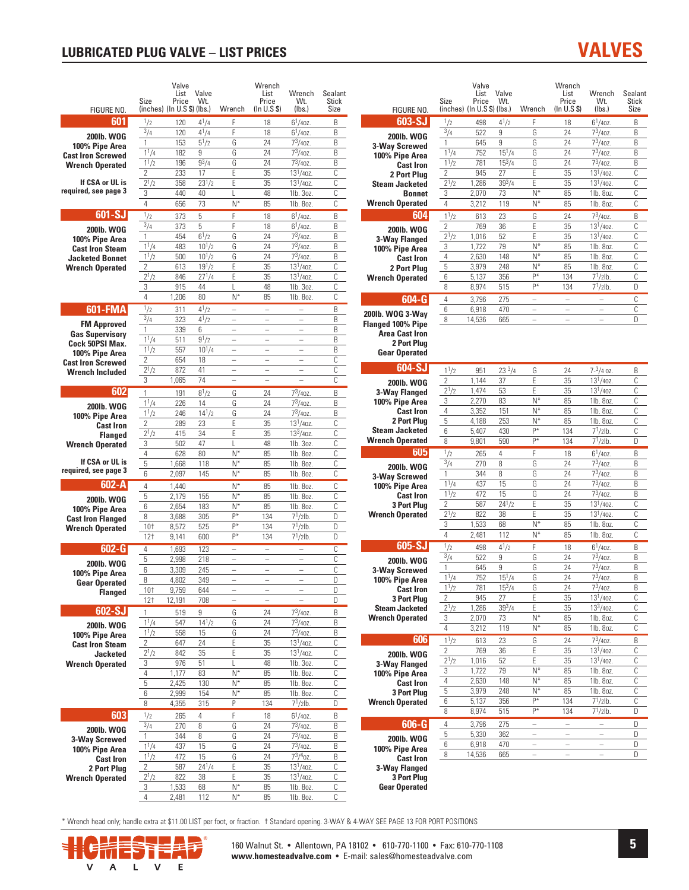#### **LUBRICATED PLUG VALVE - LIST PRICES**

| FIGURE NO.                                | Size                                  | Valve<br>List<br>Price<br>(inches) (In U.S \$) (lbs.) | Valve<br>Wt.     | Wrench                                               | Wrench<br>List<br>Price<br>(In U.S S) | Wrench<br>Wt.<br>(lbs.)                          | Sealant<br>Stick<br>Size |
|-------------------------------------------|---------------------------------------|-------------------------------------------------------|------------------|------------------------------------------------------|---------------------------------------|--------------------------------------------------|--------------------------|
| 601                                       | 1/2                                   | 120                                                   | $4^{1}/4$        | F                                                    | 18                                    | $6^{1}/40Z$ .                                    | B                        |
| 200lb. WOG                                | 3/4                                   | 120                                                   | $4^{1}/4$        | F                                                    | 18                                    | $6^{1}/40$ Z.                                    | B                        |
| 100% Pipe Area                            | 1                                     | 153                                                   | $5^{1/2}$        | G                                                    | 24                                    | $7^3/40Z$ .                                      | B                        |
| <b>Cast Iron Screwed</b>                  | 11/4                                  | 182                                                   | 9                | G                                                    | 24                                    | $7^3/40Z$ .                                      | B                        |
| <b>Wrench Operated</b>                    | 11/2                                  | 196                                                   | $9^{3}/4$        | G                                                    | 24                                    | $7^3/40Z$ .                                      | B                        |
| If CSA or UL is                           | $\overline{2}$<br>$\frac{1}{2^{1}/2}$ | 233                                                   | 17               | E<br>E                                               | 35                                    | $13^{1}/40z$ .                                   | C<br>C                   |
| required, see page 3                      | 3                                     | 358<br>440                                            | $23^{1}/2$<br>40 | L                                                    | 35<br>48                              | $13^{1}/40z$ .<br>1lb. 3oz.                      | C                        |
|                                           | 4                                     | 656                                                   | 73               | $N^*$                                                | 85                                    | 1lb. 8oz.                                        | C                        |
| $601-SJ$                                  | $\frac{1}{2}$                         | 373                                                   | 5                | F                                                    | 18                                    | $6^{1}/40$ Z.                                    | B                        |
|                                           | $^{3/4}$                              | 373                                                   | 5                | F                                                    | 18                                    | $6^{1}/40$ Z.                                    | B                        |
| <b>200lb. WOG</b><br>100% Pipe Area       | 1                                     | 454                                                   | $6^{1/2}$        | G                                                    | 24                                    | $7^3/40z$ .                                      | B                        |
| <b>Cast Iron Steam</b>                    | $1^{1/4}$                             | 483                                                   | $10^{1/2}$       | G                                                    | 24                                    | $7^3/40z$ .                                      | B                        |
| <b>Jacketed Bonnet</b>                    | $1^{1/2}$                             | 500                                                   | $10^{1}/2$       | G                                                    | 24                                    | $7^3/40Z$ .                                      | B                        |
| <b>Wrench Operated</b>                    | 2                                     | 613                                                   | $19^{1}/2$       | E                                                    | 35                                    | $13^{1}/40$ z.                                   | Ċ                        |
|                                           | $2^{1/2}$                             | 846                                                   | $27^{1}/4$       | Ë                                                    | 35                                    | $13^{1}/40$ z.                                   | Ċ                        |
|                                           | 3<br>4                                | 915<br>1,206                                          | 44<br>80         | L<br>N*                                              | 48<br>85                              | 1lb. 3oz.<br>1lb. 8oz.                           | C<br>Ċ                   |
|                                           | $\frac{1}{2}$                         |                                                       | $4^{1}/2$        |                                                      | $\overline{\phantom{0}}$              |                                                  |                          |
| 601-FMA                                   | 3/4                                   | 311<br>323                                            | $4^{1}/2$        | $\overline{\phantom{0}}$<br>$\overline{\phantom{0}}$ | $\overline{\phantom{0}}$              |                                                  | B<br>B                   |
| <b>FM Approved</b>                        | 1                                     | 339                                                   | 6                | L,                                                   | $\overline{a}$                        | $\overline{\phantom{0}}$                         | B                        |
| <b>Gas Supervisory</b><br>Cock 50PSI Max. | $1^{1/4}$                             | 511                                                   | $9^{1}/2$        | L,                                                   | $\overline{\phantom{0}}$              | L.                                               | B                        |
| 100% Pipe Area                            | $1^{1/2}$                             | 557                                                   | $10^{1}/4$       | $\overline{\phantom{0}}$                             | $\overline{a}$                        | $\overline{a}$                                   | B                        |
| <b>Cast Iron Screwed</b>                  | $\overline{2}$                        | 654                                                   | 18               | L,                                                   | L.                                    | L.                                               | C                        |
| <b>Wrench Included</b>                    | $2^{1/2}$                             | 872                                                   | 41               | $\equiv$                                             | $\overline{a}$                        | $\equiv$                                         | C                        |
|                                           | 3                                     | 1,065                                                 | 74               | $\overline{a}$                                       | $\overline{a}$                        |                                                  | С                        |
| 602                                       | $\overline{1}$                        | 191                                                   | $8^{1}/2$        | G                                                    | 24                                    | $7^{3}/407$                                      | B                        |
| <b>200lb. WOG</b>                         | $1^{1/4}$                             | 226                                                   | 14               | G                                                    | 24                                    | $7^3/40Z$ .                                      | B                        |
| 100% Pipe Area                            | 11/2<br>$\overline{2}$                | 246<br>289                                            | $14^{1}/2$<br>23 | G<br>E                                               | 24<br>35                              | $7^3/40Z$ .<br>$\frac{1}{13}$ <sup>1</sup> /40Z. | B<br>C                   |
| <b>Cast Iron</b>                          | $2^{1/2}$                             | 415                                                   | 34               | E                                                    | 35                                    | $13^{3}/40$ z.                                   | C                        |
| <b>Flanged</b><br><b>Wrench Operated</b>  | 3                                     | 502                                                   | 47               | L                                                    | 48                                    | 1lb. 3oz.                                        | C                        |
|                                           | 4                                     | 628                                                   | 80               | $N^*$                                                | 85                                    | 1lb. 8oz.                                        | C                        |
| If CSA or UL is                           | 5                                     | 1,668                                                 | 118              | $N^*$                                                | 85                                    | 1lb. 8oz.                                        | C                        |
| required, see page 3                      | 6                                     | 2,097                                                 | 145              | $N^*$                                                | 85                                    | 1lb. 8oz.                                        | C                        |
| 602-A                                     | 4                                     | 1,440                                                 |                  | $N^*$                                                | 85                                    | 1lb. 8oz.                                        | C                        |
| <b>200lb. WOG</b>                         | 5                                     | 2,179                                                 | 155              | $N^*$                                                | 85                                    | 1lb. 8oz.                                        | С                        |
| 100% Pipe Area                            | 6                                     | 2,654                                                 | 183              | $N^*$<br>$P^*$                                       | 85                                    | 1lb. 8oz.                                        | C                        |
| <b>Cast Iron Flanged</b>                  | 8                                     | 3,688                                                 | 305<br>525       | $\overline{P^*}$                                     | 134<br>134                            | $7^{1}/2$ lb.<br>$7^{1}/2$ lb.                   | D<br>D                   |
| <b>Wrench Operated</b>                    | 10†<br>12 <sup>†</sup>                | 8,572<br>9,141                                        | 600              | $P^*$                                                | 134                                   | $7^{1}/2$ lb.                                    | D                        |
| 602-G                                     | 4                                     | 1,693                                                 | 123              |                                                      |                                       |                                                  | C                        |
|                                           | 5                                     | 2,998                                                 | 218              |                                                      |                                       |                                                  | C                        |
| 200lb. WOG                                | 6                                     | 3,309                                                 | 245              | ÷,                                                   | L,                                    |                                                  | C                        |
| 100% Pipe Area<br><b>Gear Operated</b>    | R                                     | 4,802                                                 | 349              |                                                      |                                       |                                                  | D                        |
| <b>Flanged</b>                            | 10†                                   | 9,759                                                 | 644              |                                                      |                                       |                                                  | D                        |
|                                           | 12†                                   | 12,191                                                | 708              |                                                      |                                       |                                                  | D                        |
| 602-SJ                                    | 1                                     | 519                                                   | 9                | G                                                    | 24                                    | $7^3/40Z$ .                                      | B                        |
| 200lb. WOG                                | $\frac{11}{4}$                        | 547                                                   | $14^{1}/2$       | G                                                    | 24                                    | $7^3/40Z$ .                                      | B                        |
| 100% Pipe Area                            | $1^{1/2}$                             | 558                                                   | 15<br>24         | G<br>E                                               | 24                                    | $7^3/40Z$ .<br>$13^{1}/40z$ .                    | B<br>С                   |
| <b>Cast Iron Steam</b><br><b>Jacketed</b> | 2<br>$2^{1/2}$                        | 647<br>842                                            | 35               | E                                                    | 35<br>35                              | $13^{1}/40z$ .                                   | С                        |
| <b>Wrench Operated</b>                    | 3                                     | 976                                                   | 51               | L                                                    | 48                                    | 1lb. 3oz.                                        | C                        |
|                                           | 4                                     | 1,177                                                 | 83               | $N^*$                                                | 85                                    | 1lb. 8oz.                                        | C                        |
|                                           | 5                                     | 2,425                                                 | 130              | N*                                                   | 85                                    | 1lb. 8oz.                                        | С                        |
|                                           | 6                                     | 2,999                                                 | 154              | N*                                                   | 85                                    | 1lb. 8oz.                                        | С                        |
|                                           | 8                                     | 4,355                                                 | 315              | P                                                    | 134                                   | $7^{1}/2$ lb.                                    | D                        |
| 603                                       | 1/2                                   | 265                                                   | 4                | F                                                    | 18                                    | $6^{1}/40Z$ .                                    | B                        |
| 200lb. WOG                                | 3/4                                   | 270                                                   | 8                | G                                                    | 24                                    | $7^3/40Z$ .                                      | B                        |
| 3-Way Screwed                             | 1                                     | 344                                                   | 8                | G                                                    | 24                                    | $7^3/40Z$ .                                      | B                        |
| 100% Pipe Area                            | $1^{1/4}$<br>$1^{1/2}$                | 437<br>472                                            | 15<br>15         | G<br>G                                               | 24<br>24                              | $7^3/40Z$ .<br>$7^3/4$ oz.                       | B<br>B                   |
| <b>Cast Iron</b>                          | $\overline{2}$                        | 587                                                   | $24^{1}/4$       | E                                                    | 35                                    | $13^{1}/40z$ .                                   | С                        |
| 2 Port Plug<br>Wrench Operated            | $2^{1/2}$                             | 822                                                   | 38               | E                                                    | 35                                    | $13^{1}/40z$ .                                   | C                        |
|                                           | 3                                     | 1,533                                                 | 68               | $N^*$                                                | 85                                    | 1lb. 8oz.                                        | С                        |
|                                           | 4                                     | 2,481                                                 | 112              | $N^*$                                                | 85                                    | 1lb. 8oz.                                        | С                        |

|                                                              | Size                        | Valve<br>List<br>Price      | Valve<br>Wt.     |                          | Wrench<br>List<br>Price  | Wrench<br>Wt.                    | Sealant<br><b>Stick</b> |
|--------------------------------------------------------------|-----------------------------|-----------------------------|------------------|--------------------------|--------------------------|----------------------------------|-------------------------|
| FIGURE NO.                                                   |                             | (inches) (In U.S \$) (Ibs.) |                  | Wrench                   | (In U.S S)               | (lbs.)                           | Size                    |
| $603-SJ$                                                     | $\frac{1}{2}$               | 498                         | $4^{1}/2$        | F                        | 18                       | $6^{1}/40$ Z.                    | В                       |
| <b>200lb. WOG</b>                                            | $^{3/4}$                    | 522                         | 9                | G                        | 24                       | $7^{3}/40$ z.                    | B                       |
| 3-Way Screwed                                                | 1                           | 645                         | 9                | G                        | 24                       | $7^{3}/40$ z.                    | B                       |
| 100% Pipe Area                                               | $1^{1/4}$                   | 752                         | $15^{1}/4$       | G                        | 24                       | $7^{3}/40$ z.<br>$7^{3}/407$     | B                       |
| <b>Cast Iron</b>                                             | 11/2<br>$\overline{2}$      | 781<br>945                  | $15^{3}/4$<br>27 | G<br>E                   | 24<br>35                 | $13^{1}/40z$ .                   | B<br>Ċ                  |
| 2 Port Plug<br><b>Steam Jacketed</b>                         | $2^{1/2}$                   | 1,286                       | $39^{3}/4$       | E                        | 35                       | $13^{1}/40z$ .                   | Ċ                       |
| <b>Bonnet</b>                                                | 3                           | 2,070                       | 73               | $N^*$                    | 85                       | 1lb. 8oz.                        | Ċ                       |
| <b>Wrench Operated</b>                                       | 4                           | 3.212                       | 119              | $N^*$                    | 85                       | 1lb. 8oz.                        | Ċ                       |
| 604                                                          | $1^{1}/2$                   | 613                         | 23               | G                        | 24                       | $7^3/40z$                        | B                       |
| 200lb. WOG                                                   | $\overline{2}$              | 769                         | 36               | E                        | 35                       | $13^{1}/40z$ .                   | Ċ                       |
| 3-Way Flanged                                                | $2^{1/2}$                   | 1,016                       | 52               | E                        | 35                       | $13^{1}/407$ .                   | C                       |
| 100% Pipe Area                                               | 3                           | 1,722                       | 79               | $N^*$                    | 85                       | 1lb. 8oz.                        | Ċ                       |
| <b>Cast Iron</b>                                             | 4                           | 2,630                       | 148              | $N^*$                    | 85                       | 1lb. 8oz.                        | C                       |
| 2 Port Plug                                                  | 5                           | 3,979                       | 248              | $N^*$                    | 85                       | 1lb. 8oz.                        | Ċ                       |
| <b>Wrench Operated</b>                                       | 6                           | 5,137                       | 356              | P*                       | 134                      | $7^{1}/2$ lb.                    | C                       |
|                                                              | 8                           | 8,974                       | 515              | p*                       | 134                      | $7^{1}/2$ lb.                    | D                       |
| $604 - G$                                                    | 4                           | 3,796                       | 275              | $\overline{\phantom{0}}$ |                          |                                  | Ċ                       |
| 200lb. WOG 3-Wav                                             | 6                           | 6,918                       | 470              |                          |                          |                                  | Ċ                       |
| Flanged 100% Pipe                                            | 8                           | 14,536                      | 665              | ÷,                       | $\overline{\phantom{0}}$ |                                  | Ŋ                       |
| <b>Area Cast Iron</b><br>2 Port Plug<br><b>Gear Operated</b> |                             |                             |                  |                          |                          |                                  |                         |
| 604-SJ                                                       | 11/2                        |                             | $23\frac{3}{4}$  |                          |                          |                                  |                         |
|                                                              | $\overline{2}$              | 951<br>1,144                | 37               | G<br>E                   | 24<br>35                 | $7-3/4$ oz.<br>$13^{1}/40z$ .    | B<br>Ċ                  |
| <b>200lb. WOG</b><br><b>3-Way Flanged</b>                    | $2^{1/2}$                   | 1,474                       | 53               | E                        | 35                       | $13^{1}/40z$ .                   | C                       |
| 100% Pipe Area                                               | 3                           | 2,270                       | 83               | $N^*$                    | 85                       | 1lb. 8oz.                        | Ċ                       |
| <b>Cast Iron</b>                                             | 4                           | 3,352                       | 151              | $N^*$                    | 85                       | 1lb. 8oz.                        | C                       |
| 2 Port Plug                                                  | 5                           | 4,188                       | 253              | $N^*$                    | 85                       | 1lb. 8oz.                        | Ċ                       |
| <b>Steam Jacketed</b>                                        | 6                           | 5,407                       | 430              | p*                       | 134                      | $7^{1}/2$ lb.                    | C                       |
| <b>Wrench Operated</b>                                       | 8                           | 9,801                       | 590              | p*                       | 134                      | 7 <sup>1</sup> /2lb.             | D                       |
| 605                                                          | $\frac{1}{2}$               | 265                         | 4                | F                        | 18                       | $6^{1}/40$ Z.                    | B                       |
| <b>200lb. WOG</b>                                            | $\frac{3}{4}$               | 270                         | 8                | G                        | 24                       | $7^3/40Z$ .                      | B                       |
| 3-Way Screwed                                                | 1                           | 344                         | 8                | G                        | 24                       | $7^3/40z$                        | B                       |
| 100% Pipe Area                                               | $1^{1/4}$                   | 437                         | 15               | G                        | 24                       | $7^3/40Z$ .                      | B                       |
| <b>Cast Iron</b>                                             | $1^{1/2}$                   | 472                         | 15<br>$24^{1}/2$ | G                        | 24                       | $7^3/40Z$ .                      | B                       |
| <b>3 Port Plug</b>                                           | $\overline{2}$<br>$2^{1/2}$ | 587<br>822                  | 38               | E<br>E                   | 35<br>35                 | $13^{1}/40z$ .<br>$13^{1}/40z$ . | C<br>C                  |
| <b>Wrench Operated</b>                                       | 3                           | 1,533                       | 68               | $N^*$                    | 85                       | 1lb. 8oz.                        | C                       |
|                                                              | 4                           | 2,481                       | 112              | $N^*$                    | 85                       | 1lb. 8oz.                        | C                       |
| 605-SJ                                                       | $\frac{1}{2}$               | 498                         | $4^{1}/2$        | F                        | 18                       | $6^{1}/40$ Z.                    | B                       |
|                                                              | 3/4                         | 522                         | 9                | G                        | 24                       | $7^{3}/40$ z.                    | B                       |
| 200lb. WOG<br>3-Way Screwed                                  | 1                           | 645                         | 9                | G                        | 24                       | $7^3/40Z$ .                      | B                       |
| 100% Pipe Area                                               | 11/4                        | 752                         | $15^{1}/4$       | G                        | 24                       | $7^{3}/407$                      | B                       |
| <b>Cast Iron</b>                                             | $1^{1/2}$                   | 781                         | $15^{3}/4$       | G                        | 24                       | 73/40z.                          | В                       |
| <b>3 Port Plug</b>                                           | $\overline{2}$              | 945                         | 27               | E                        | 35                       | $13^{1}/40z$ .                   | C                       |
| <b>Steam Jacketed</b>                                        | $2^{1/2}$                   | 1,286                       | $39^{3}/4$       | E                        | 35                       | $13^{3}/40$ z.                   | С                       |
| <b>Wrench Operated</b>                                       | 3                           | 2,070                       | 73               | $N^*$                    | 85                       | 1lb. 8oz.                        | C                       |
|                                                              | 4                           | 3,212                       | 119              | $N^*$                    | 85                       | 1lb. 8oz.                        | C                       |
| 606                                                          | 11/2                        | 613                         | 23               | G                        | 24                       | $7^{3}/40$ z.                    | B                       |
| 200lb. WOG                                                   | 2                           | 769                         | 36               | E                        | 35                       | $13^{1}/40z$ .                   | С                       |
| 3-Way Flanged                                                | $2^{1/2}$                   | 1,016                       | 52               | E<br>$N^*$               | 35                       | $13^{1}/40z$ .                   | С                       |
| 100% Pipe Area                                               | 3<br>4                      | 1,722                       | 79<br>148        | N*                       | 85<br>85                 | 1lb. 8oz.<br>1lb. 8oz.           | С<br>С                  |
| <b>Cast Iron</b><br><b>3 Port Plug</b>                       | 5                           | 2,630<br>3,979              | 248              | $N^*$                    | 85                       | 1lb. 8oz.                        | С                       |
| <b>Wrench Operated</b>                                       | 6                           | 5,137                       | 356              | P*                       | 134                      | $7^{1}/2$ lb.                    | С                       |
|                                                              | 8                           | 8,974                       | 515              | P*                       | 134                      | $7^{1}/2$ lb.                    | D                       |
| $606-G$                                                      | $\overline{4}$              | 3,796                       | 275              | $\equiv$                 | $\overline{\phantom{0}}$ | $\equiv$                         | D                       |
|                                                              | 5                           | 5,330                       | 362              | -                        | -                        |                                  | D                       |
| 200lb. WOG                                                   | 6                           | 6,918                       | 470              | -                        | $\overline{\phantom{0}}$ | -                                | D                       |
| 100% Pipe Area<br><b>Cast Iron</b>                           | 8                           | 14,536                      | 665              |                          |                          |                                  | D                       |
| 3-Way Flanged                                                |                             |                             |                  |                          |                          |                                  |                         |
| <b>3 Port Plug</b><br><b>Gear Operated</b>                   |                             |                             |                  |                          |                          |                                  |                         |

**VALVES** 

\* Wrench head only; handle extra at \$11.00 LIST per foot, or fraction. † Standard opening. 3-WAY & 4-WAY SEE PAGE 13 FOR PORT POSITIONS



160 Walnut St. • Allentown, PA 18102 • 610-770-1100 • Fax: 610-770-1108 www.homesteadvalve.com • E-mail: sales@homesteadvalve.com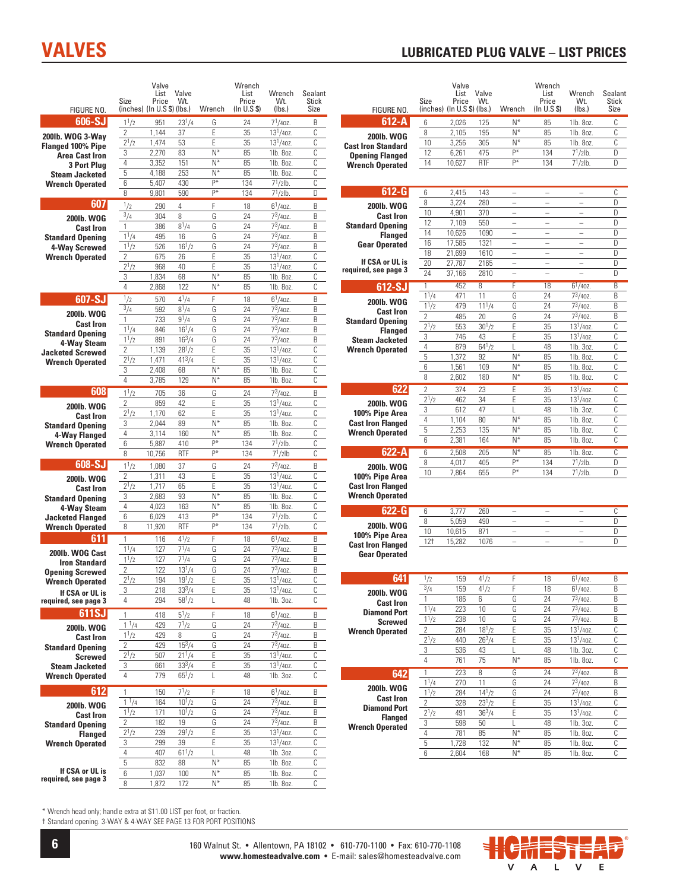## **VALVES**

#### **LUBRICATED PLUG VALVE - LIST PRICES**

| FIGURE NO.                              | Size                      | Valve<br>List<br>Price<br>(inches) (In U.S \$) (Ibs.) | Valve<br>Wt.      | Wrench         | Wrench<br>List<br>Price<br>(In U.S \$) | Wrench<br>Wt.<br>(lbs.)     | Sealant<br>Stick<br>Size | FIGURE NO.                                  | Size                      | Valve<br>List<br>Price<br>(inches) (In U.S \$) (lbs.) | Valve<br>Wt.       | Wrench                               | Wrench<br>List<br>Price<br>(In U.S \$) | Wrench<br>Wt.<br>(lbs.)              | Sealant<br>Stick<br>Size |
|-----------------------------------------|---------------------------|-------------------------------------------------------|-------------------|----------------|----------------------------------------|-----------------------------|--------------------------|---------------------------------------------|---------------------------|-------------------------------------------------------|--------------------|--------------------------------------|----------------------------------------|--------------------------------------|--------------------------|
| 606-SJ                                  | $1^{1/2}$                 | 951                                                   | $23^{1}/4$        | G              | 24                                     | $7^{1}/40Z$ .               | B                        | $612 - A$                                   | 6                         | 2,026                                                 | 125                | $N^*$                                | 85                                     | 1lb. 8oz.                            | C                        |
| 200lb. WOG 3-Way                        | $\overline{2}$            | 1,144                                                 | 37                | E              | 35                                     | $13^{1}/40z$ .              | С                        | <b>200lb. WOG</b>                           | 8                         | 2,105                                                 | 195                | $N^*$                                | 85                                     | 1lb. 8oz.                            | С                        |
| Flanged 100% Pipe                       | $2^{1/2}$                 | 1,474                                                 | 53                | E              | 35                                     | $13^{1}/40z$ .              | С                        | <b>Cast Iron Standard</b>                   | 10                        | 3,256                                                 | 305                | $N^*$                                | 85                                     | 1lb. 8oz.                            | С                        |
| Area Cast Iron                          | 3                         | 2,270                                                 | 83                | $N^*$          | 85                                     | 1lb. 8oz.                   | С                        | <b>Opening Flanged</b>                      | 12                        | 6,261                                                 | 475                | p*                                   | 134                                    | $7^{1}/2$ lb.                        | D                        |
| <b>3 Port Plug</b>                      | $\sqrt{4}$                | 3,352                                                 | 151               | $N^*$          | 85                                     | 1lb. 8oz.                   | С                        | <b>Wrench Operated</b>                      | 14                        | 10,627                                                | <b>RTF</b>         | p*                                   | 134                                    | $71/2$ lb.                           | D                        |
| <b>Steam Jacketed</b>                   | $\mathbf 5$               | 4,188                                                 | 253               | $N^*$          | 85                                     | 1lb. 8oz.                   | С                        |                                             |                           |                                                       |                    |                                      |                                        |                                      |                          |
| <b>Wrench Operated</b>                  | 6                         | 5,407                                                 | 430               | P*             | 134                                    | $7^{1}/2$ lb.               | С                        | $612-G$                                     |                           |                                                       |                    |                                      |                                        |                                      |                          |
|                                         | 8                         | 9,801                                                 | 590               | P*             | 134                                    | $7^{1}/2$ lb.               | D                        |                                             | 6<br>8                    | 2,415<br>3,224                                        | 143<br>280         | $\equiv$<br>$\overline{\phantom{0}}$ | $\frac{1}{2}$<br>÷,                    | $\equiv$<br>$\overline{\phantom{a}}$ | C<br>D                   |
| 607                                     | 1/2                       | 290                                                   | $\overline{4}$    | F              | 18                                     | $6^{1}/40Z$                 | B                        | <b>200lb. WOG</b>                           | 10                        | 4,901                                                 | 370                | $\equiv$                             | $\overline{\phantom{a}}$               | $\overline{\phantom{a}}$             | D                        |
| 2001b. WOG                              | $\frac{3}{4}$             | 304                                                   | 8                 | G              | 24                                     | $7^3/40z$ .                 | B                        | <b>Cast Iron</b>                            | 12                        | 7,109                                                 | 550                | $\overline{\phantom{0}}$             | $\equiv$                               | ÷,                                   | D                        |
| <b>Cast Iron</b>                        | $\mathbf{1}$              | 386                                                   | $8^{1}/4$         | G              | 24                                     | $7^3/40z$ .                 | B                        | <b>Standard Opening</b><br><b>Flanged</b>   | 14                        | 10,626                                                | 1090               | $\equiv$                             | L.                                     | $\overline{\phantom{a}}$             | D                        |
| <b>Standard Opening</b>                 | $1^{1}/4$                 | 495<br>526                                            | 16<br>$16^{1}/2$  | G<br>G         | 24<br>24                               | $7^3/40z$ .<br>$7^3/40Z$ .  | B<br>B                   | <b>Gear Operated</b>                        | 16                        | 17,585                                                | 1321               | $\overline{\phantom{0}}$             | ÷,                                     | $\overline{\phantom{a}}$             | D                        |
| 4-Way Screwed                           | $1^{1/2}$<br>$\mathbf{2}$ | 675                                                   | 26                | E              | 35                                     | $13^{1}/40z$ .              | С                        |                                             | 18                        | 21,699                                                | 1610               | $\equiv$                             | $\overline{\phantom{a}}$               | $\overline{\phantom{a}}$             | D                        |
| <b>Wrench Operated</b>                  | $2^{1/2}$                 | 968                                                   | 40                | E              | 35                                     | $13^{1}/40z$ .              | С                        | If CSA or UL is                             | 20                        | 27,787                                                | 2165               | $\overline{\phantom{0}}$             | ÷,                                     | L.                                   | D                        |
|                                         | 3                         | 1,834                                                 | 68                | $N^*$          | 85                                     | 1lb. 8oz.                   | C                        | required, see page 3                        | 24                        | 37,166                                                | 2810               | L,                                   | $\overline{\phantom{a}}$               | $\overline{\phantom{0}}$             | D                        |
|                                         | $\overline{4}$            | 2,868                                                 | 122               | $N^*$          | 85                                     | 1lb. 8oz.                   | C                        | 612-SJ                                      | $\mathbf{1}$              | 452                                                   | $\sqrt{8}$         | F                                    | 18                                     | $6^{1}/40Z$                          | B                        |
| 607-SJ                                  | $\frac{1}{2}$             | 570                                                   | $4^{1}/4$         | F              | 18                                     | $6^{1}/40Z$ .               | B                        |                                             | $1^{1}/4$                 | 471                                                   | 11                 | G                                    | 24                                     | $7^3/40Z$                            | B                        |
|                                         | $^{3}/4$                  | 592                                                   | $8^{1}/4$         | G              | 24                                     | $7^3/40z$ .                 | B                        | 200lb. WOG                                  | $1^{1/2}$                 | 479                                                   | $11^{1}/4$         | G                                    | 24                                     | $7^{3}/40z$                          | B                        |
| 2001b. WOG                              | $\mathbf{1}$              | 733                                                   | $9^{1}/4$         | G              | 24                                     | $7^{3}/40z$ .               | B                        | <b>Cast Iron</b><br><b>Standard Opening</b> | $\mathbf{2}$              | 485                                                   | 20                 | G                                    | 24                                     | $7^3/40z$ .                          | B                        |
| <b>Cast Iron</b>                        | $1^{1}/4$                 | 846                                                   | $16^{1}/4$        | G              | 24                                     | $7^3/40z$ .                 | B                        | <b>Flanged</b>                              | $2^{1/2}$                 | 553                                                   | $30^{1}/2$         | E                                    | 35                                     | $13^{1}/40z$ .                       | С                        |
| <b>Standard Opening</b><br>4-Wav Steam  | $1^{1/2}$                 | 891                                                   | $16^{3}/4$        | G              | 24                                     | $7^3/40Z$ .                 | B                        | <b>Steam Jacketed</b>                       | 3                         | 746                                                   | 43                 | E                                    | 35                                     | $13^{1}/40z$ .                       | С                        |
| <b>Jacketed Screwed</b>                 | $\overline{2}$            | 1,139                                                 | $28^{1}/2$        | E              | 35                                     | $13^{1}/40z$                | С                        | <b>Wrench Operated</b>                      | $\sqrt{4}$                | 879                                                   | $64^{1}/2$         | ı                                    | 48                                     | 1lb. 3oz.                            | С                        |
| <b>Wrench Operated</b>                  | $2^{1}/2$                 | 1,471                                                 | $41^{3}/4$        | E              | 35                                     | $13^{1}/40z$                | С                        |                                             | $\mathbf 5$               | 1,372                                                 | 92                 | $N^*$                                | 85                                     | 1lb. 8oz.                            | С                        |
|                                         | 3                         | 2,408                                                 | 68                | $N^*$          | 85                                     | 1lb. 8oz.                   | С                        |                                             | 6                         | 1,561                                                 | 109                | $N^*$                                | 85                                     | 1lb. 8oz.                            | С                        |
|                                         | $\overline{4}$            | 3,785                                                 | 129               | $N^*$          | 85                                     | 1lb. 8oz.                   | С                        |                                             | 8                         | 2,602                                                 | 180                | $N^*$                                | 85                                     | 1lb. 8oz.                            | С                        |
| 608                                     | $1^{1/2}$                 | 705                                                   | 36                | G              | 24                                     | $7^3/40Z$ .                 | B                        | 622                                         | $\overline{2}$            | 374                                                   | 23                 | Ε                                    | 35                                     | $13^{1}/40z$ .                       | $\overline{\mathbb{C}}$  |
| 2001b. WOG                              | $\sqrt{2}$                | 859                                                   | 42                | E              | 35                                     | $13^{1}/40z$ .              | C                        | <b>200lb. WOG</b>                           | $2^{1/2}$                 | 462<br>612                                            | 34<br>47           | Ε                                    | 35<br>48                               | $13^{1}/40z$ .<br>1lb. 3oz.          | C<br>C                   |
| <b>Cast Iron</b>                        | $2^{1/2}$                 | 1,170                                                 | 62                | E              | 35                                     | $\frac{1}{3^{1}}$ /40Z.     | C                        | 100% Pipe Area                              | 3<br>$\sqrt{4}$           | 1,104                                                 | 80                 | L<br>$N^*$                           | 85                                     | 1lb. 8oz.                            | C                        |
| <b>Standard Opening</b>                 | 3                         | 2,044                                                 | 89                | $N^*$          | 85                                     | 1lb. 8oz.                   | C                        | <b>Cast Iron Flanged</b>                    | $\mathbf 5$               | 2,253                                                 | 135                | $N^*$                                | 85                                     | 1lb. 8oz.                            | C                        |
| 4-Way Flanged                           | $\overline{4}$            | 3,114                                                 | 160               | $N^*$          | 85                                     | 1lb. 8oz.                   | C                        | <b>Wrench Operated</b>                      | $6\phantom{a}$            | 2,381                                                 | 164                | $N^*$                                | 85                                     | 1lb. 8oz.                            | C                        |
| <b>Wrench Operated</b>                  | $\,6\,$<br>8              | 5,887                                                 | 410<br><b>RTF</b> | P*<br>P*       | 134                                    | $7^{1}/2$ lb.               | C<br>C                   | 622-A                                       | 6                         | 2,508                                                 | 205                | $N^*$                                | 85                                     | 1lb. 8oz.                            | $\mathbb C$              |
|                                         |                           | 10,756                                                |                   |                | 134                                    | $71/2$ lb                   |                          |                                             | 8                         | 4,017                                                 | 405                | p*                                   | 134                                    | $71/2$ lb.                           | D                        |
| 608-SJ                                  | $1^{1/2}$                 | 1,080                                                 | 37                | G              | 24                                     | $7^{3}/40Z$                 | B                        | 200lb. WOG                                  | 10                        | 7,864                                                 | 655                | p*                                   | 134                                    | $71/2$ lb.                           | D                        |
| 2001b. WOG                              | $\mathbf{2}$<br>$2^{1/2}$ | 1,311                                                 | 43<br>65          | E<br>E         | 35<br>35                               | $13^{1}/40Z$ .              | С<br>С                   | 100% Pipe Area<br><b>Cast Iron Flanged</b>  |                           |                                                       |                    |                                      |                                        |                                      |                          |
| <b>Cast Iron</b>                        | 3                         | 1,717<br>2,683                                        | 93                | $N^*$          | 85                                     | $13^{1}/40Z$ .<br>1lb. 8oz. | С                        | <b>Wrench Operated</b>                      |                           |                                                       |                    |                                      |                                        |                                      |                          |
| <b>Standard Opening</b><br>4-Way Steam  | $\overline{4}$            | 4,023                                                 | 163               | $N^*$          | 85                                     | 1lb. 8oz.                   | С                        |                                             |                           |                                                       |                    |                                      |                                        |                                      |                          |
| <b>Jacketed Flanged</b>                 | 6                         | 6,029                                                 | 413               | $P*$           | 134                                    | $7^{1}/2$ lb.               | С                        | $622 - G$                                   | 6                         | 3,777                                                 | 260                | $\qquad \qquad -$                    | $\overline{\phantom{a}}$               | $\overline{\phantom{0}}$             | С                        |
| <b>Wrench Operated</b>                  | 8                         | 11,920                                                | <b>RTF</b>        | p*             | 134                                    | $7^{1}/2$ lb.               | С                        | 200lb. WOG                                  | 8                         | 5,059                                                 | 490                | $\overline{\phantom{0}}$             | $\overline{\phantom{a}}$               | $\equiv$                             | D                        |
| 611                                     | $\mathbf{1}$              | 116                                                   | $4^{1}/2$         | F              | 18                                     | $6^{1}/40z$ .               | B                        | 100% Pipe Area                              | 10                        | 10,615                                                | 871<br>1076        | $\equiv$<br>$\equiv$                 | $\equiv$<br>$\overline{\phantom{a}}$   | $\overline{\phantom{0}}$<br>$\equiv$ | D<br>D                   |
|                                         | $1^{1}/4$                 | 127                                                   | $7^{1}/4$         | G              | 24                                     | $7^3/40z$ .                 | B                        | <b>Cast Iron Flanged</b>                    | 12 <sup>†</sup>           | 15,282                                                |                    |                                      |                                        |                                      |                          |
| 200lb. WOG Cast<br><b>Iron Standard</b> | $1^{1/2}$                 | 127                                                   | $7^{1}/4$         | G              | 24                                     | $7^3/40z$ .                 | B                        | Gear Operated                               |                           |                                                       |                    |                                      |                                        |                                      |                          |
| <b>Opening Screwed</b>                  | $\overline{c}$            | 122                                                   | $13^{1}/4$        | G              | 24                                     | $7^3/40Z$ .                 | B                        |                                             |                           |                                                       |                    |                                      |                                        |                                      |                          |
| <b>Wrench Operated</b>                  | $2^{1/2}$                 | 194                                                   | $19^{1}/2$        | E              | 35                                     | $13^{1}/40z$                | C                        | 641                                         | 1/2                       | 159                                                   | $4^{1}/2$          | F                                    | 18                                     | $6^{1}/40Z$                          | B                        |
| If CSA or UL is                         | 3                         | 218                                                   | $33^{3}/4$        | Ε              | 35                                     | $13^{1}/40z$ .              | С                        | 200lb. WOG                                  | 3/4                       | 159                                                   | $4^{1}/2$          | F                                    | 18                                     | $6^{1}/40Z$ .                        | Β                        |
| required, see page 3                    | $\overline{4}$            | 294                                                   | $58^{1}/2$        | L              | 48                                     | 1lb. 3oz.                   | C                        | <b>Cast Iron</b>                            | $\mathbf{1}$              | 186                                                   | 6                  | G                                    | 24                                     | $7^3/40Z$ .                          | B                        |
| 611SJ                                   | $\mathbf{1}$              | 418                                                   | $5^{1/2}$         | F              | 18                                     | $6^{1}/40Z$ .               | B                        | <b>Diamond Port</b>                         | $1^{1/4}$                 | 223                                                   | 10                 | G                                    | 24                                     | $7^3/40Z$ .                          | B                        |
| 200lb. WOG                              | $1 \frac{1}{4}$           | 429                                                   | $7^{1/2}$         | G              | 24                                     | $7^3/40Z$ .                 | B                        | <b>Screwed</b>                              | $1^{1/2}$<br>$\mathbf{2}$ | 238<br>284                                            | 10<br>$18^{1}/2$   | G<br>Ε                               | 24<br>35                               | $7^3/40Z$ .<br>$13^{1}/40z$ .        | Β<br>С                   |
| <b>Cast Iron</b>                        | $1^{1/2}$                 | 429                                                   | 8                 | G              | 24                                     | $7^3/40Z$ .                 | B                        | <b>Wrench Operated</b>                      | $2^{1/2}$                 | 440                                                   | $26^{3}/4$         | Ε                                    | 35                                     | $13^{1}/40z$ .                       | С                        |
| <b>Standard Opening</b>                 | $\mathbf{2}$              | 429                                                   | $15^{3}/4$        | G              | 24                                     | $7^3/40Z$ .                 | B                        |                                             | 3                         | 536                                                   | 43                 | L                                    | 48                                     | 1lb. 3oz.                            | С                        |
| <b>Screwed</b>                          | $2^{1/2}$                 | 507                                                   | $21^{1}/4$        | E              | 35                                     | $13^{1}/40z$ .              | С                        |                                             | $\overline{4}$            | 761                                                   | 75                 | $N^*$                                | 85                                     | 1lb. 8oz.                            | С                        |
| <b>Steam Jacketed</b>                   | 3                         | 661                                                   | $33^{3}/4$        | E              | 35                                     | $13^{1}/40z$ .              | С                        |                                             | 1                         | 223                                                   | $\overline{\bf 8}$ | G                                    | 24                                     | $7^3/40Z$ .                          | $\overline{B}$           |
| <b>Wrench Operated</b>                  | $\overline{4}$            | 779                                                   | $65^{1}/2$        | L              | 48                                     | 1lb. 3oz.                   | С                        | 642                                         | $1^{1}/4$                 | 270                                                   | 11                 | G                                    | 24                                     | $7^3/40z$ .                          | B                        |
| 612                                     | $\mathbf{1}$              | 150                                                   | $7^{1}/2$         | F              | 18                                     | $6^{1}/40Z$ .               | B                        | 200lb. WOG                                  | $1^{1}/2$                 | 284                                                   | $14^{1}/2$         | G                                    | 24                                     | $7^3/40z$ .                          | B                        |
| 200lb. WOG                              | $1^{1/4}$                 | 164                                                   | $10^{1/2}$        | G              | 24                                     | $7^3/40Z$ .                 | B                        | <b>Cast Iron</b>                            | $\mathbf{2}$              | 328                                                   | $23^{1}/2$         | Ε                                    | 35                                     | $13^{1}/40z$ .                       | C                        |
| <b>Cast Iron</b>                        | $1^{1/2}$                 | 171                                                   | $10^{1}/2$        | G              | 24                                     | $7^3/40Z$ .                 | B                        | <b>Diamond Port</b>                         | $2^{1}/2$                 | 491                                                   | $36^{3}/4$         | Ε                                    | $35\,$                                 | $13^{1}/40z$ .                       | C                        |
| <b>Standard Opening</b>                 | $\mathbf{2}$              | 182                                                   | 19                | G              | 24                                     | $7^3/40z$ .                 | B                        | <b>Flanged</b><br><b>Wrench Operated</b>    | $\overline{3}$            | 598                                                   | 50                 |                                      | 48                                     | 1lb. 3oz.                            | C                        |
| <b>Flanged</b>                          | $2^{1/2}$                 | 239                                                   | $29^{1}/2$        | E              | 35                                     | $13^{1}/40z$ .              | С                        |                                             | $\overline{4}$            | 781                                                   | 85                 | $N^*$                                | 85                                     | 1lb. 8oz.                            | С                        |
| <b>Wrench Operated</b>                  | 3                         | 299                                                   | 39                | E              | 35                                     | $13^{1}/40z$ .              | С                        |                                             | $\overline{5}$            | 1,728                                                 | 132                | $N^*$                                | 85                                     | 1lb. 8oz.                            | С                        |
|                                         | 4                         | 407                                                   | $61^{1}/2$        |                | 48                                     | 1lb. 3oz.                   | С                        |                                             | 6                         | 2,604                                                 | 168                | $N^*$                                | 85                                     | 1lb. 8oz.                            | С                        |
| If CSA or UL is                         | $5\,$                     | 832                                                   | 88                | $N^*$          | 85                                     | 1lb. 8oz.                   | С                        |                                             |                           |                                                       |                    |                                      |                                        |                                      |                          |
| required, see page 3                    | 6<br>8                    | 1,037                                                 | 100               | $N^*$<br>$N^*$ | 85                                     | 1lb. 8oz.                   | С<br>C                   |                                             |                           |                                                       |                    |                                      |                                        |                                      |                          |
|                                         |                           | 1.872                                                 | 172               |                | 85                                     | 1lb. 8oz.                   |                          |                                             |                           |                                                       |                    |                                      |                                        |                                      |                          |

\* Wrench head only; handle extra at \$11.00 LIST per foot, or fraction.<br>† Standard opening. 3-WAY & 4-WAY SEE PAGE 13 FOR PORT POSITIONS



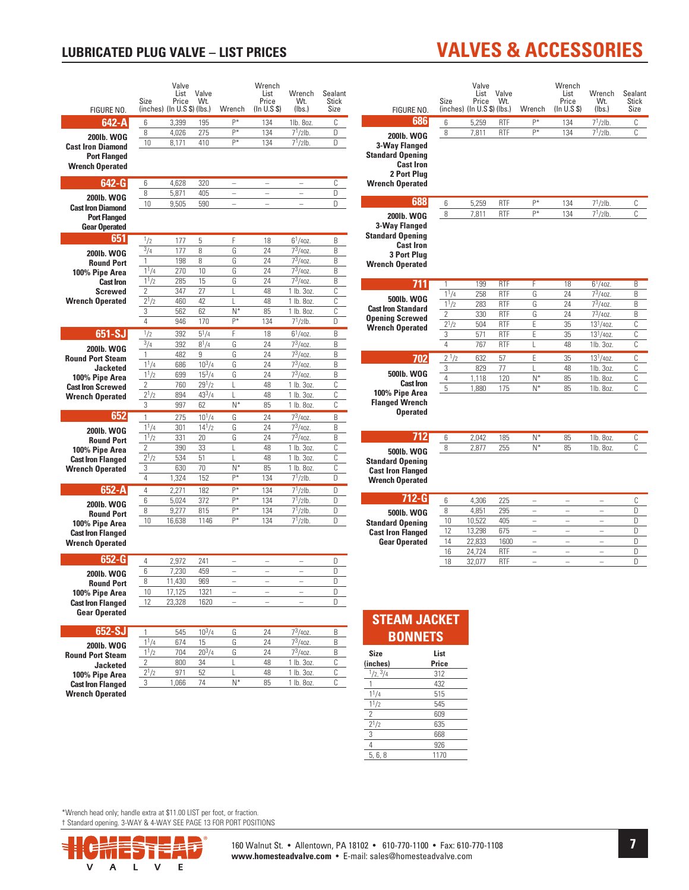#### **LUBRICATED PLUG VALVE - LIST PRICES**

#### Valve Wrench List Valve Wrench Sealant List Price Price Wt. Size Wt. Stick FIGURE NO.  $(inches)$  ( $In U.S$  \$) ( $Ibs$ .) Wrench  $(ln U.S S)$  $(lbs.)$ **Size** 642-A 3.399 195  $\overline{P^*}$  $\frac{134}{ }$ 1lb. 8oz.  $\overline{c}$  $\overline{6}$ 8 4,026 275 p\* 134  $7^{1}/2$ lb.  $D$ 200lb. WOG  $10$  $8,171$ 410  $\overline{P^*}$ 134  $7<sup>1</sup>/2$ lb.  $\overline{D}$ **Cast Iron Diamond Port Flanged Wrench Operated** 642-G  $6$ 4,628 320  $\overline{C}$  $\overline{8}$  $5,871$ 405  $\overline{D}$ 200lb. WOG  $10$ 9.505 590 D **Cast Iron Diamond Port Flanged Gear Operated** 651  $\frac{1}{2}$  $\overline{5}$  $6^{1}/40^{2}$  $\overline{\mathsf{B}}$ 177  $\mathsf F$ 18  $3/4$ 200lb. WOG 177  $\mathsf{R}$ G 24  $7^{3}/40Z$  $\mathsf{R}$  $7^{3}/40^{2}$  $\mathbf{1}$ 198 8 G 24 B **Round Port**  $11/4$  $73/40Z$  $\frac{270}{ }$  $\overline{10}$  $\overline{G}$  $\overline{24}$  $\overline{R}$ 100% Pipe Area  $1^{1/2}$ 285  $15$ G 24  $7^3/40z$ .  $B$ **Cast Iron**  $\overline{2}$ **Screwed**  $\overline{347}$  $\overline{27}$  $48$  $1$  lb.  $3$ oz C L **Wrench Operated**  $2^{1/2}$  $\overline{47}$  $\overline{c}$ 460  $\overline{1}$ 48 1 lb. 8oz  $\overline{3}$  $N^*$  $\overline{\mathfrak{c}}$ 562 62 85 1 lb. 8oz  $\overline{4}$ 946  $134$  $170$  $\overline{P^*}$  $7^{1}/2$ lb.  $\Box$ 651-SJ  $5^{1}/4$  $18$  $6^{1}/40Z$  $\overline{\mathsf{B}}$  $\frac{1}{2}$ 392 F  $\frac{3}{4}$ 392  $8^{1}/4$ G  $\overline{24}$  $7^{3}/40z$  $\overline{\mathsf{B}}$ 200lb. WOG  $7^{3}/40^{2}$  $\mathbf{1}$ 482  $\mathsf{G}$ 24  $R$  $\mathfrak{g}$ **Round Port Steam**  $1^{1}/4$  $10^3/4$  $\overline{\mathbb{G}}$  $\overline{24}$  $7^3/40Z$ .  $\overline{\mathsf{B}}$ 686 **Jacketed**  $1^{1/2}$  $7^{3}/40^{2}$ 699  $15^3/a$ G 24  $\mathsf{R}$ 100% Pipe Area  $\overline{z}$ 760  $29^{1/2}$ 48 1 lb. 3oz  $\mathbb{C}$ **Cast Iron Screwed** T  $2^{1/2}$  $43^{3}/4$ 894  $48$  $1$  lb.  $3$ oz  $\overline{\mathbb{C}}$ **Wrench Operated** 3 997  $62$  $N^*$ 85 1 lb. 8oz  $\mathbb{C}$ 652  $\mathbf{1}$ 275  $10^{1}/4$  ${\mathbb G}$ 24  $7^3/40z$ .  $\,$  B  $1^{1}/4$  $7^{3}/40z$  $\overline{\mathsf{B}}$ 301  $14^{1}/2$ G 24 200lb. WOG  $1^{1}/2$  $7^{3}/40Z$ 331  $20$  ${\mathbb G}$ 24  $\,$  B **Round Port** 48  $1$  lb.  $3$ oz  $\overline{2}$ 390 33 C 100% Pipe Area L  $\frac{2^{1/2}}{2}$  $48$ 1 lb. 3oz **Cast Iron Flanged** 534 51  $\mathbf{I}$  $\mathsf{C}$ **Wrench Operated**  $\overline{3}$ 630  $70$  $N^*$  $85$ 1 lb. 8oz  $\overline{\mathbb{C}}$  $P*$  $7<sup>1</sup>/2lb$ .  $\overline{4}$ 1,324 152 134  $\overline{\mathsf{D}}$  $\overline{P^*}$  $7<sup>1</sup>/2lb$ 652-A  $2,271$ 182 134  $\overline{D}$  $\overline{4}$  $6$  $5,024$ 372  $\overline{P^*}$ 134  $7^{1}/2$ lb.  $\overline{D}$ 200lb. WOG  $\overline{8}$  $\overline{P^*}$ 134  $7^{1}/2$ lb.  $9,277$ 815  $\overline{D}$ **Round Port**  $\frac{1}{P^*}$  $\frac{1}{7^{1}/21}$ 134  $\overline{\mathsf{D}}$  $10$ 16.638  $1146$ 100% Pipe Area **Cast Iron Flanged Wrench Operated** 652-G  $\overline{4}$ 2,972 241  $\overline{\mathsf{D}}$ 2001b. WOG  $6$ 7,230  $459$  $\overline{a}$  $\equiv$  $\overline{a}$  $\Gamma$  $\overline{8}$  $11,430$ 969  $\overline{\mathsf{D}}$ **Round Port**  $\overline{10}$ 17.125 1321  $\overline{D}$ 100% Pipe Area **Cast Iron Flanged**  $\overline{12}$ 23,328 1620  $\overline{D}$ **Gear Operated** 652-SJ 545  $10^{3}/4$  $7^{3}/40^{2}$  $\overline{B}$ G  $\overline{24}$  $11/4$  $73/407$  $\overline{674}$  $74$  $\overline{R}$  $15$ G **200lb. WOG**  $1^{1/2}$ 704  $20^{3}/4$ G  $\overline{24}$  $7^{3}/40^{2}$  $\overline{B}$ **Round Port Steam**  $\frac{1}{2}$ 800  $\overline{34}$  $48$  $1$  lb.  $3$ oz  $\overline{\mathbb{C}}$ T **Jacketed**  $2^{1/2}$ 100% Pipe Area  $q_{71}$  $52$ I.  $\overline{48}$ 1 lb. 3oz  $\overline{\mathbb{C}}$  $\overline{85}$  $\overline{3}$ 1.066  $\overline{74}$  $\overline{N}$ 1 lb. 8oz C **Cast Iron Flanged**

## **VALVES & ACCESSORIES**

|                                                                                                                            | Size                | List<br>Price<br>$(inches)$ (In U.S \$) (lbs.) | Valve<br>Wt.       | Wrench                    | Wrench<br>List<br>Price<br>(In U.S S)                | Wrench<br>Wt.<br>(lbs.)    | Sealant<br><b>Stick</b><br>Size |
|----------------------------------------------------------------------------------------------------------------------------|---------------------|------------------------------------------------|--------------------|---------------------------|------------------------------------------------------|----------------------------|---------------------------------|
| 686                                                                                                                        | 6                   | 5,259                                          | <b>RTF</b>         | p*                        | 134                                                  | $7^{1}/2$ lb.              | C                               |
| <b>200lb. WOG</b>                                                                                                          | 8                   | 7,811                                          | <b>RTF</b>         | $\overline{P^*}$          | 134                                                  | $7^{1}/2$ lb.              | C                               |
| 3-Way Flanged<br><b>Standard Opening</b><br><b>Cast Iron</b><br>2 Port Plua<br><b>Wrench Operated</b>                      |                     |                                                |                    |                           |                                                      |                            |                                 |
| 688                                                                                                                        | 6                   | 5,259                                          | <b>RTF</b>         | $P^*$                     | 134                                                  | $7^{1}/2$ lb.              | C                               |
| 2001b. WOG<br>3-Way Flanged<br><b>Standard Opening</b><br><b>Cast Iron</b><br><b>3 Port Plug</b><br><b>Wrench Operated</b> | 8                   | 7,811                                          | <b>RTF</b>         | $P*$                      | 134                                                  | $7^{1}/2$ lb.              | C                               |
| 711                                                                                                                        | 1                   | 199                                            | <b>RTF</b>         | F                         | 18                                                   | $6^{1}/40Z$ .              | B                               |
|                                                                                                                            | $1^{1/4}$           | 258                                            | <b>RTF</b>         | G                         | 24                                                   | $7^3/40Z$ .                | B                               |
| 500lb. WOG<br><b>Cast Iron Standard</b>                                                                                    | 11/2                | 283                                            | <b>RTF</b>         | G                         | 24                                                   | $7^3/40Z$ .                | B                               |
| <b>Opening Screwed</b>                                                                                                     | $\overline{c}$      | 330                                            | <b>RTF</b>         | G                         | 24                                                   | $7^3/40Z$ .                | B                               |
| <b>Wrench Operated</b>                                                                                                     | $2^{1/2}$           | 504                                            | <b>RTF</b>         | E                         | 35                                                   | $13^{1}/40z$ .             | C                               |
|                                                                                                                            | 3                   | 571                                            | <b>RTF</b>         | E                         | 35                                                   | $13^{1}/40z$ .             | $\overline{c}$                  |
|                                                                                                                            | $\overline{4}$      | 767                                            | <b>RTF</b>         | L                         | 48                                                   | 1lb. 3oz.                  | C                               |
| 702                                                                                                                        | $\frac{1}{2^{1/2}}$ | 632                                            | 57                 | Ë                         | 35                                                   | $13^{1}/40z$ .             | C                               |
| 500lb. WOG                                                                                                                 | 3                   | 829                                            | 77                 | Ĺ                         | 48                                                   | 1lb. 3oz.                  | C                               |
| <b>Cast Iron</b>                                                                                                           | $\overline{4}$<br>5 | 1,118<br>1,880                                 | 120<br>175         | $N^*$<br>$\overline{N^*}$ | 85<br>85                                             | 1lb. 8oz.<br>1lb. 8oz.     | C<br>C                          |
| 100% Pipe Area<br><b>Flanged Wrench</b><br><b>Operated</b>                                                                 |                     |                                                |                    |                           |                                                      |                            |                                 |
|                                                                                                                            | 6                   | 2,042                                          | 185                | $N^*$                     | 85                                                   | 1lb. 8oz.                  | C                               |
| 712                                                                                                                        |                     |                                                | 255                | $N^*$                     |                                                      |                            | Ċ                               |
| 500lb. WOG<br><b>Standard Opening</b><br><b>Cast Iron Flanged</b><br><b>Wrench Operated</b>                                | 8                   | 2,877                                          |                    |                           | 85                                                   | 1lb. 8oz.                  |                                 |
| 712-G                                                                                                                      | 6                   | 4,306                                          | 225                |                           | $\overline{\phantom{0}}$                             | L,                         |                                 |
| 500lb. WOG                                                                                                                 | 8                   | 4,851                                          | 295                | $\overline{a}$            | $\overline{a}$                                       | $\overline{a}$             |                                 |
| <b>Standard Opening</b>                                                                                                    | 10                  | 10,522                                         | 405                | $\equiv$                  | $\overline{\phantom{0}}$                             | $\equiv$                   |                                 |
| <b>Cast Iron Flanged</b>                                                                                                   | 12                  | 13,298                                         | 675                |                           |                                                      |                            |                                 |
| <b>Gear Operated</b>                                                                                                       | 14<br>16            | 22,833<br>24,724                               | 1600<br><b>RTF</b> | $\equiv$<br>$\equiv$      | $\overline{\phantom{0}}$<br>$\overline{\phantom{0}}$ | $\equiv$<br>$\overline{a}$ | C<br>D<br>D<br>D<br>D<br>D      |

\*Wrench head only; handle extra at \$11.00 LIST per foot, or fraction. † Standard opening. 3-WAY & 4-WAY SEE PAGE 13 FOR PORT POSITIONS



**Wrench Operated** 

(inches)

 $\mathbf{1}$ 

 $1^{1}/4$ 

 $1^{1/2}$ 

 $2^{1/2}$ 

 $5, 6, 8$ 

 $\overline{2}$ 

 $\overline{3}$ 

 $\overline{4}$ 

 $\frac{1}{2}$ ,  $\frac{3}{4}$ 

Price

 $312$ 

432

 $\overline{515}$ 

545

609

635

668

926

 $1170$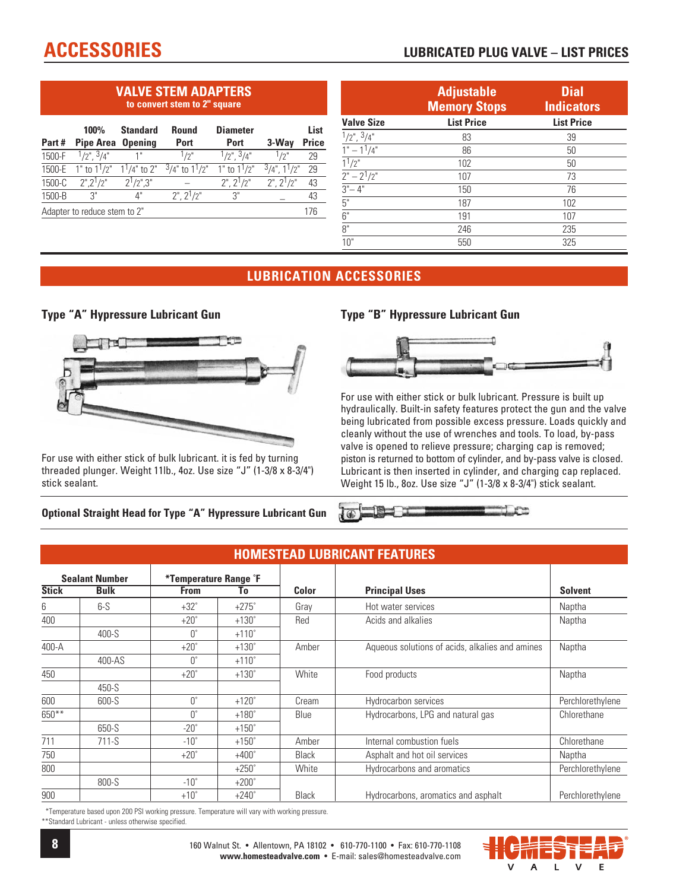#### **VALVE STEM ADAPTERS to convert stem to 2" square**

| Part#                               | 100%<br><b>Pipe Area Opening</b> | <b>Standard</b> | Round<br><b>Port</b>   | <b>Diameter</b><br><b>Port</b> | $3-Way$              | List<br><b>Price</b> |  |  |
|-------------------------------------|----------------------------------|-----------------|------------------------|--------------------------------|----------------------|----------------------|--|--|
| 1500-F                              | $1/2$ " $3/4$ "                  |                 | 1/2"                   | $1/2$ " $3/4$ "                | 1/2"                 | 29                   |  |  |
| 1500-E                              | 1" to $1^1/2$ " $1^1/4$ " to 2"  |                 | $3/4$ " to $1^{1}/2$ " | $1"$ to $11/2"$                | $3/4$ ", $1^{1}/2$ " | 29                   |  |  |
| 1500-C                              | 2" 2 <sup>1</sup> /2"            | $2^1/2$ " $3$ " |                        | $2"$ , $2^{1}/2"$              | $2"$ , $2^{1}/2"$    | 43                   |  |  |
| 1500-B                              | 3"                               | 4"              | $2$ ", $2^{1}/2$ "     | 3"                             |                      | 43                   |  |  |
| Adapter to reduce stem to 2"<br>176 |                                  |                 |                        |                                |                      |                      |  |  |

|                                   | <b>Adjustable</b><br><b>Memory Stops</b> | <b>Dial</b><br><b>Indicators</b> |
|-----------------------------------|------------------------------------------|----------------------------------|
| <b>Valve Size</b>                 | <b>List Price</b>                        | <b>List Price</b>                |
| $1/2$ ", $3/4$ "                  | 83                                       | 39                               |
| $1" - 11/4"$                      | 86                                       | 50                               |
| $\frac{1}{2}$                     | 102                                      | 50                               |
| $2^{\circ} - 2^{\circ}/2^{\circ}$ | 107                                      | 73                               |
| $3 - 4$                           | 150                                      | 76                               |
| 5"                                | 187                                      | 102                              |
| 6"                                | 191                                      | 107                              |
| 8"                                | 246                                      | 235                              |
| 10"                               | 550                                      | 325                              |

#### **LUBRICATION ACCESSORIES**

#### **Type "A" Hypressure Lubricant Gun**



For use with either stick of bulk lubricant. it is fed by turning threaded plunger. Weight 11lb., 4oz. Use size "J" (1-3/8 x 8-3/4") stick sealant.

#### **Optional Straight Head for Type "A" Hypressure Lubricant Gun**

#### **Type "B" Hypressure Lubricant Gun**



For use with either stick or bulk lubricant. Pressure is built up hydraulically. Built-in safety features protect the gun and the valve being lubricated from possible excess pressure. Loads quickly and cleanly without the use of wrenches and tools. To load, by-pass valve is opened to relieve pressure; charging cap is removed; piston is returned to bottom of cylinder, and by-pass valve is closed. Lubricant is then inserted in cylinder, and charging cap replaced. Weight 15 lb., 8oz. Use size "J" (1-3/8 x 8-3/4") stick sealant.

Err

|                       | <b>HOMESTEAD LUBRICANT FEATURES</b> |                   |                       |              |                                                 |                  |  |  |  |  |  |
|-----------------------|-------------------------------------|-------------------|-----------------------|--------------|-------------------------------------------------|------------------|--|--|--|--|--|
| <b>Sealant Number</b> |                                     |                   | *Temperature Range °F |              |                                                 |                  |  |  |  |  |  |
| <b>Stick</b>          | <b>Bulk</b>                         | <b>From</b>       | Τo                    | Color        | <b>Principal Uses</b>                           | <b>Solvent</b>   |  |  |  |  |  |
| 6                     | $6-S$                               | $+32^\circ$       | $+275^\circ$          | Gray         | Hot water services                              | Naptha           |  |  |  |  |  |
| 400                   |                                     | $+20^\circ$       | $+130^\circ$          | Red          | Acids and alkalies                              | Naptha           |  |  |  |  |  |
|                       | $400-S$                             | $0^{\circ}$       | $+110^\circ$          |              |                                                 |                  |  |  |  |  |  |
| 400-A                 |                                     | $+20^\circ$       | $+130^\circ$          | Amber        | Aqueous solutions of acids, alkalies and amines | Naptha           |  |  |  |  |  |
|                       | 400-AS                              | $\bigcap^{\circ}$ | $+110^\circ$          |              |                                                 |                  |  |  |  |  |  |
| 450                   |                                     | $+20^\circ$       | $+130^\circ$          | White        | Food products                                   | Naptha           |  |  |  |  |  |
|                       | 450-S                               |                   |                       |              |                                                 |                  |  |  |  |  |  |
| 600                   | 600-S                               | $0^{\circ}$       | $+120^\circ$          | Cream        | Hydrocarbon services                            | Perchlorethylene |  |  |  |  |  |
| $650***$              |                                     | $\bigcap^{\circ}$ | $+180^\circ$          | Blue         | Hydrocarbons, LPG and natural gas               | Chlorethane      |  |  |  |  |  |
|                       | 650-S                               | $-20^\circ$       | $+150^\circ$          |              |                                                 |                  |  |  |  |  |  |
| 711                   | $711-S$                             | $-10^{\circ}$     | $+150^\circ$          | Amber        | Internal combustion fuels                       | Chlorethane      |  |  |  |  |  |
| 750                   |                                     | $+20^\circ$       | $+400^\circ$          | <b>Black</b> | Asphalt and hot oil services                    | Naptha           |  |  |  |  |  |
| 800                   |                                     |                   | $+250^\circ$          | White        | Hydrocarbons and aromatics                      | Perchlorethylene |  |  |  |  |  |
|                       | 800-S                               | $-10^\circ$       | $+200^\circ$          |              |                                                 |                  |  |  |  |  |  |
| 900                   |                                     | $+10^\circ$       | $+240^\circ$          | <b>Black</b> | Hydrocarbons, aromatics and asphalt             | Perchlorethylene |  |  |  |  |  |

 $\overline{d}$ 

\*Temperature based upon 200 PSI working pressure. Temperature will vary with working pressure. \*\*Standard Lubricant - unless otherwise specified.

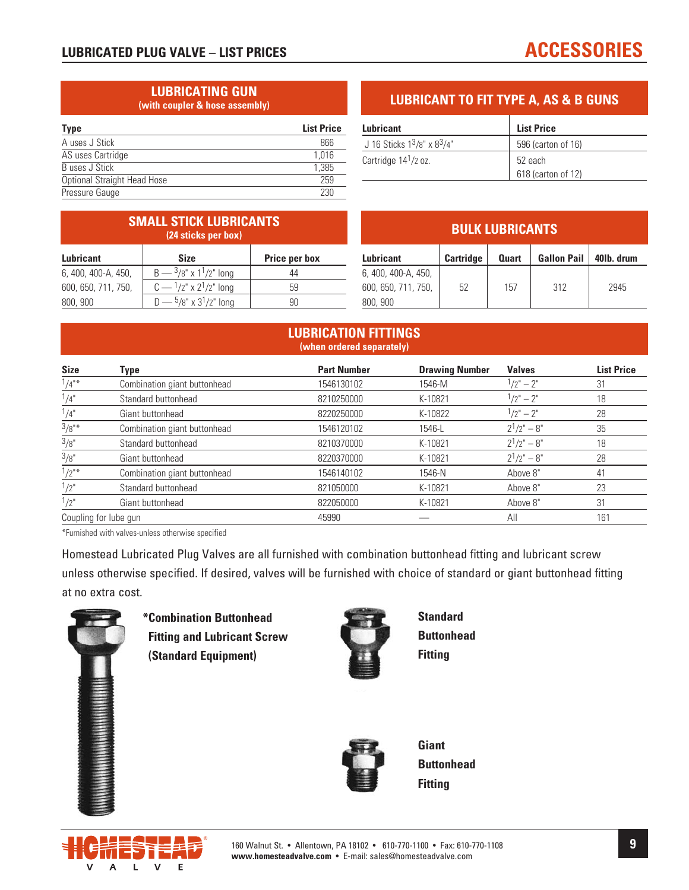#### **LUBRICATING GUN (with coupler & hose assembly)**

| <b>Type</b>                 | <b>List Price</b> |
|-----------------------------|-------------------|
| A uses J Stick              | 866               |
| AS uses Cartridge           | 1.016             |
| Buses J Stick               | 1.385             |
| Optional Straight Head Hose | 259               |
| Pressure Gauge              | 230               |
|                             |                   |

#### **LUBRICANT TO FIT TYPE A, AS & B GUNS**

| Lubricant                         | <b>List Price</b>  |
|-----------------------------------|--------------------|
| J 16 Sticks $1^3/8$ " x $8^3/4$ " | 596 (carton of 16) |
| Cartridge 14 <sup>1</sup> /2 oz.  | 52 each            |
|                                   | 618 (carton of 12) |

|                     | <b>SMALL STICK LUBRICANTS</b><br>(24 sticks per box) |               |                     |           | <b>BULK LUBRICANTS</b> |                    |            |
|---------------------|------------------------------------------------------|---------------|---------------------|-----------|------------------------|--------------------|------------|
| Lubricant           | <b>Size</b>                                          | Price per box | <b>Lubricant</b>    | Cartridge | <b>Quart</b>           | <b>Gallon Pail</b> | 40lb. drum |
| 6, 400, 400-A, 450, | $B - \frac{3}{8}$ " x 1 <sup>1</sup> /2" long        | 44            | 6, 400, 400-A, 450, |           |                        |                    |            |
| 600, 650, 711, 750, | $C - \frac{1}{2}$ x $2^{1}/2$ long                   | 59            | 600, 650, 711, 750, | 52        | 157                    | 312                | 2945       |
| 800, 900            | $D - \frac{5}{8}$ " x 3 <sup>1</sup> /2" long        | 90            | 800, 900            |           |                        |                    |            |

#### **LUBRICATION FITTINGS (when ordered separately)**

| <b>Size</b> | Type                         | <b>Part Number</b> | <b>Drawing Number</b> | <b>Valves</b> | <b>List Price</b> |
|-------------|------------------------------|--------------------|-----------------------|---------------|-------------------|
| $1/4$ "*    | Combination giant buttonhead | 1546130102         | 1546-M                | $1/2" - 2"$   | 31                |
| 1/4"        | Standard buttonhead          | 8210250000         | K-10821               | $1/2" - 2"$   | 18                |
| 1/4"        | Giant buttonhead             | 8220250000         | K-10822               | $1/2" - 2"$   | 28                |
| 3/8"        | Combination giant buttonhead | 1546120102         | 1546-L                | $2^1/2" - 8"$ | 35                |
| 3/8"        | Standard buttonhead          | 8210370000         | K-10821               | $2^1/2" - 8"$ | 18                |
| 3/8"        | Giant buttonhead             | 8220370000         | K-10821               | $2^1/2" - 8"$ | 28                |
| $1/2$ "*    | Combination giant buttonhead | 1546140102         | 1546-N                | Above 8"      | 41                |
| 1/2"        | Standard buttonhead          | 821050000          | K-10821               | Above 8"      | 23                |
| 1/2"        | Giant buttonhead             | 822050000          | K-10821               | Above 8"      | 31                |
|             | Coupling for lube gun        | 45990              |                       | All           | 161               |

\*Furnished with valves-unless otherwise specified

Homestead Lubricated Plug Valves are all furnished with combination buttonhead fitting and lubricant screw unless otherwise specified. If desired, valves will be furnished with choice of standard or giant buttonhead fitting at no extra cost.



**\* Combination Buttonhead Fitting and Lubricant Screw (Standard Equipment)**



**Standard Buttonhead Fitting** 



**Giant Buttonhead Fitting** 

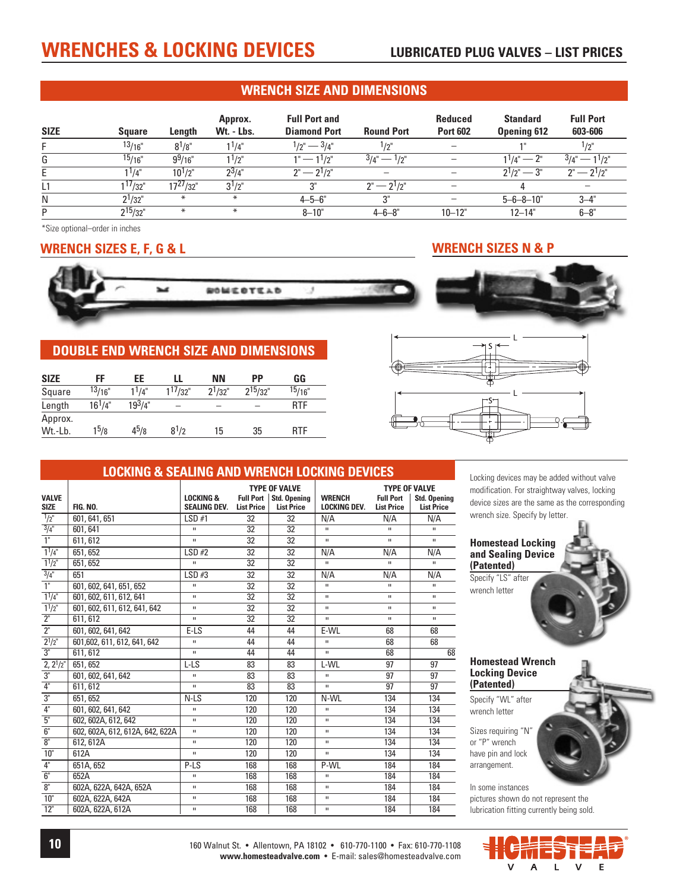## **WRENCHES & LOCKING DEVICES** LUBRICATED PLUG VALVES – LIST PRICES

#### **WRENCH SIZE AND DIMENSIONS**

| <b>SIZE</b> | <b>Square</b>   | Length        | Approx.<br>Wt. - Lbs. | <b>Full Port and</b><br><b>Diamond Port</b> | <b>Round Port</b>           | <b>Reduced</b><br><b>Port 602</b> | <b>Standard</b><br><b>Opening 612</b> | <b>Full Port</b><br>603-606 |
|-------------|-----------------|---------------|-----------------------|---------------------------------------------|-----------------------------|-----------------------------------|---------------------------------------|-----------------------------|
|             | 13/16"          | $8^{1}/8"$    | $1^{1/4"}$            | $1/2" - 3/4"$                               | $1/2$ "                     |                                   |                                       | $1/2$ "                     |
| G           | $\frac{15}{16}$ | $9^{9/16"$    | $1^{1/2"}$            | $1" - 11/2"$                                | $3/4" - 1/2"$               |                                   | $1^{1/4}$ " — 2"                      | $3/4" - 11/2"$              |
|             | $1^{1}/4"$      | $10^{1/2"$    | $2^3/4"$              | $2^{\circ} - 2^{\circ}$ /2"                 |                             |                                   | $2^{1}/2^{1}$ – $3^{1}$               | $2^{\circ} - 2^{\circ}$ /2" |
|             | $1^{17}/32"$    | $17^{27}/32"$ | $3^{1/2"$             | 3"                                          | $2^{\circ} - 2^{\circ}$ /2" |                                   |                                       |                             |
| N           | $2^{1}/32"$     | $\ast$        | $\ast$                | $4 - 5 - 6$                                 | 3"                          |                                   | $5 - 6 - 8 - 10$ "                    | $3 - 4"$                    |
| D           | $2^{15}/32"$    | $\ast$        | $\ast$                | $8 - 10"$                                   | $4 - 6 - 8$ "               | $10 - 12"$                        | $12 - 14"$                            | $6 - 8"$                    |

\*Size optional–order in inches

#### **WRENCH SIZES E, F, G & L WRENCH SIZES N & P**



#### **DOUBLE END WRENCH SIZE AND DIMENSIONS**

| <b>SIZE</b>        | FF                 | EE          | LL           | <b>NN</b>   | РP            | GG         |
|--------------------|--------------------|-------------|--------------|-------------|---------------|------------|
| Square             | <sup>13</sup> /16" | $1^{1/4"}$  | $1^{17}/32"$ | $2^{1}/32"$ | $2^{15/32}$ " | 15/16"     |
| Length             | $16^{1/4"$         | $19^{3}/4"$ |              |             |               | <b>RTF</b> |
| Approx.<br>Wt.-Lb. | $1^5/8$            | $4^{5}/8$   | $8^{1/2}$    | 15          | 35            | <b>RTF</b> |



#### **LOCKING & SEALING AND WRENCH LOCKING DEVICES**

|                             |                                 |                                             |                   | <b>TYPE OF VALVE</b>                          |                                      | <b>TYPE OF VALVE</b>                  |                                          |
|-----------------------------|---------------------------------|---------------------------------------------|-------------------|-----------------------------------------------|--------------------------------------|---------------------------------------|------------------------------------------|
| <b>VALVE</b><br><b>SIZE</b> | <b>FIG. NO.</b>                 | <b>LOCKING &amp;</b><br><b>SEALING DEV.</b> | <b>List Price</b> | Full Port   Std. Opening<br><b>List Price</b> | <b>WRENCH</b><br><b>LOCKING DEV.</b> | <b>Full Port</b><br><b>List Price</b> | <b>Std. Opening</b><br><b>List Price</b> |
| $\frac{1}{2}$               | 601, 641, 651                   | LSD#1                                       | $\overline{32}$   | 32                                            | N/A                                  | N/A                                   | N/A                                      |
| $\frac{3}{4}$ "             | 601, 641                        | $\mathbf{H}$                                | 32                | 32                                            | $\mathbf{H}$                         | $\mathbf{H}$                          | $\mathbf{H}$                             |
| $\overline{1}$              | 611.612                         | $\mathbf{u}$                                | 32                | 32                                            | $\mathbf{u}$                         | $\mathbf{u}$                          | $\mathbf{H}$                             |
| $1^{1}/4$ "                 | 651, 652                        | LSD#2                                       | 32                | 32                                            | N/A                                  | N/A                                   | N/A                                      |
| $1^{1}/2$ "                 | 651, 652                        | $\mathbf{u}$                                | 32                | 32                                            | $\mathbf{u}$                         | $\mathbf{u}$                          | $\mathbf{u}$                             |
| $\frac{3}{4}$ "             | 651                             | LSD#3                                       | 32                | 32                                            | N/A                                  | N/A                                   | N/A                                      |
| $\overline{1}$              | 601, 602, 641, 651, 652         | $\mathbf{H}$                                | 32                | 32                                            | $\mathbf{H}$                         | $\mathbf{H}$                          | $\mathbf{H}$                             |
| $11/4$ "                    | 601, 602, 611, 612, 641         | $\mathbf{u}$                                | $\overline{32}$   | 32                                            | $\mathbf{u}$                         | $\mathbf{H}$                          | $\mathbf{u}$                             |
| $1^{1}/2$ "                 | 601, 602, 611, 612, 641, 642    | $\mathbf{u}$                                | 32                | 32                                            | $\mathbf{H}$                         | $\mathbf H$                           | $\mathbf{H}$                             |
| 2 <sup>n</sup>              | 611.612                         | $\mathbf{u}$                                | 32                | 32                                            | $\mathbf{u}$                         | $\mathbf{H}$                          | $\mathbf{H}$                             |
| $\overline{2}$              | 601, 602, 641, 642              | $E-LS$                                      | 44                | 44                                            | E-WL                                 | 68                                    | 68                                       |
| $2^{1}/2$ "                 | 601,602, 611, 612, 641, 642     | $\mathbf{H}$                                | 44                | 44                                            | $\mathbf{H}$                         | 68                                    | 68                                       |
| $\overline{3}$ "            | 611, 612                        | $\mathbf{u}$                                | 44                | 44                                            | $\mathbf{u}$                         | 68                                    | 68                                       |
| $2, 2^{1/2}$                | 651, 652                        | $L-LS$                                      | 83                | 83                                            | L-WL                                 | 97                                    | 97                                       |
| $\overline{3}$ "            | 601, 602, 641, 642              | $\mathbf{H}$                                | 83                | 83                                            | $\mathbf{u}$                         | 97                                    | 97                                       |
| 4"                          | 611, 612                        | $\mathbf{u}$                                | 83                | 83                                            | $\mathbf{u}$                         | 97                                    | 97                                       |
| $\overline{3}$ "            | 651, 652                        | N-LS                                        | 120               | 120                                           | N-WI                                 | 134                                   | 134                                      |
| 4"                          | 601, 602, 641, 642              | $\mathbf{H}$                                | 120               | 120                                           | $\mathbf{u}$                         | 134                                   | 134                                      |
| 5"                          | 602, 602A, 612, 642             | $\mathbf{u}$                                | 120               | 120                                           | $\mathbf{H}$                         | 134                                   | 134                                      |
| 6"                          | 602, 602A, 612, 612A, 642, 622A | $\mathbf{u}$                                | 120               | 120                                           | $\mathbf{u}$                         | 134                                   | 134                                      |
| 8 <sup>n</sup>              | 612, 612A                       | $\mathbf{H}$                                | 120               | 120                                           | $\mathbf{H}$                         | 134                                   | 134                                      |
| 10 <sup>th</sup>            | 612A                            | $\mathbf{u}$                                | 120               | 120                                           | $\mathbf{u}$                         | 134                                   | 134                                      |
| 4"                          | 651A, 652                       | P-LS                                        | 168               | 168                                           | P-WL                                 | 184                                   | 184                                      |
| 6 <sup>th</sup>             | 652A                            | $\mathbf{H}$                                | 168               | 168                                           | $\mathbf{H}$                         | 184                                   | 184                                      |
| $\overline{8}$ "            | 602A, 622A, 642A, 652A          | $\mathbf{u}$                                | 168               | 168                                           | $\mathbf{u}$                         | 184                                   | 184                                      |
| 10 <sup>th</sup>            | 602A, 622A, 642A                | $\mathbf{H}$                                | 168               | 168                                           | $\mathbf{H}$                         | 184                                   | 184                                      |
| 12"                         | 602A, 622A, 612A                | $\mathbf{H}$                                | 168               | 168                                           | $\mathbf{H}$                         | 184                                   | 184                                      |

Locking devices may be added without valve modification. For straightway valves, locking device sizes are the same as the corresponding wrench size. Specify by letter.

#### **Homestead Locking and Sealing Device (Patented)**

Specify "LS" after wrench letter

#### **Homestead Wrench Locking Device (Patented)**

Specify "WL" after wrench letter

Sizes requiring "N' or "P" wrench have pin and lock arrangement. 

In some instances pictures shown do not represent the lubrication fitting currently being sold.

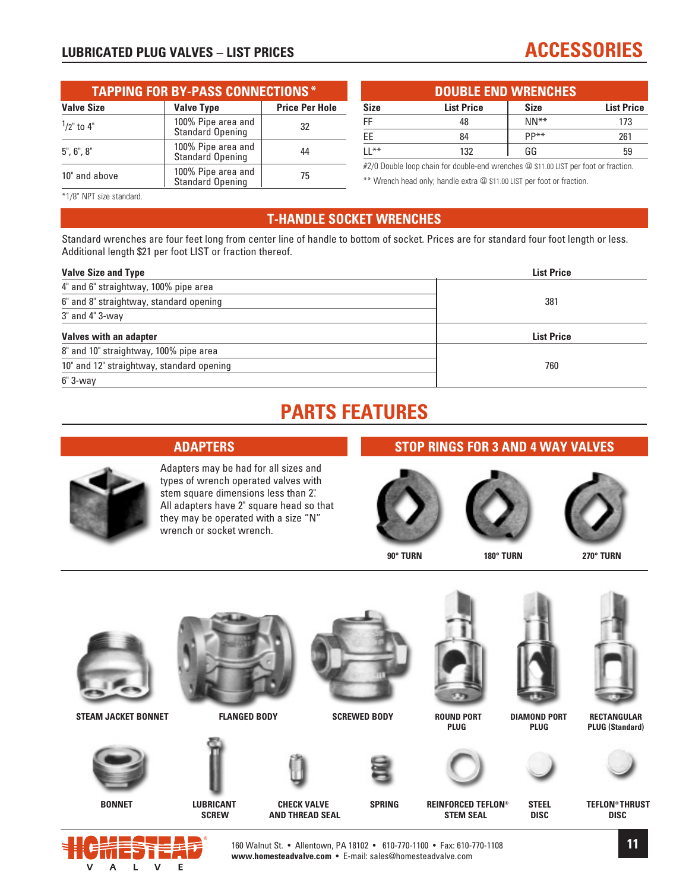#### **LUBRICATED PLUG VALVES – LIST PRICES** ACCESSORIES

#### **TAPPING FOR BY-PASS CONNECTIONS \* Valve Size**  Valve Type **Price Per Hole**  $\frac{1}{2}$ " to 4" 100% Pipe area and 32<br>Standard Opening 32 5", 6", 8" 100% Pipe area and 44 Standard Opening 10" and above 100% Pipe area and 100% Pipe area and 100% Pipe area and 15

| <b>DOUBLE END WRENCHES</b> |                   |             |                   |  |  |
|----------------------------|-------------------|-------------|-------------------|--|--|
| Size                       | <b>List Price</b> | <b>Size</b> | <b>List Price</b> |  |  |
| FF                         | 48                | $NN**$      | 173               |  |  |
| ЕE                         | 84                | PP**        | 261               |  |  |
| LL**                       | 132               | GG          | 59                |  |  |

#2/0 Double loop chain for double-end wrenches @ \$11.00 LIST per foot or fraction. \*\* Wrench head only; handle extra @ \$11.00 LIST per foot or fraction.

\*1/8" NPT size standard.

#### **T-HANDLE SOCKET WRENCHES**

Standard wrenches are four feet long from center line of handle to bottom of socket. Prices are for standard four foot length or less. Additional length \$21 per foot LIST or fraction thereof.

| <b>Valve Size and Type</b>                | <b>List Price</b> |
|-------------------------------------------|-------------------|
| 4" and 6" straightway, 100% pipe area     |                   |
| 6" and 8" straightway, standard opening   | 381               |
| 3" and 4" 3-way                           |                   |
| Valves with an adapter                    | <b>List Price</b> |
| 8" and 10" straightway, 100% pipe area    |                   |
| 10" and 12" straightway, standard opening | 760               |
| $6" 3-wav$                                |                   |

## **PARTS FEATURES**

#### **ADAPTERS**

wrench or socket wrench.

Adapters may be had for all sizes and types of wrench operated valves with stem square dimensions less than 2". All adapters have 2" square head so that they may be operated with a size "N"

#### **STOP RINGS FOR 3 AND 4 WAY VALVES**



**90° TURN 180° TURN 270° TURN**









**BONNET LUBRICANT CHECK VALVE SPRING REINFORCED TEFLON® STEEL TEFLON® THRUST AND THREAD SEAL STEM SEAL** 















STEAM JACKET BONNET **FLANGED BODY SCREWED BODY** ROUND PORT DIAMOND PORT RECTANGULAR<br>PLUG PLUG (Standard) **PLUG PLUG PLUG PLUG PLUG PLUG (Standard)** 



160 Walnut St. • Allentown, PA 18102 • 610-770-1100 • Fax: 610-770-1108 **www.homesteadvalve.com** • E-mail: sales@homesteadvalve.com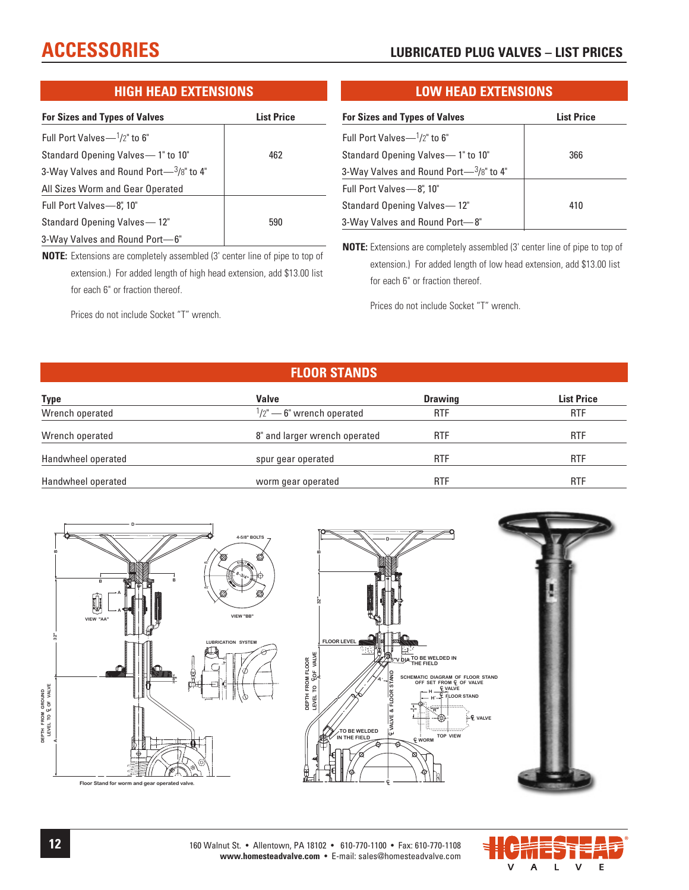#### **ACCESSORIES LUBRICATED PLUG VALVES – LIST PRICES**

#### **HIGH HEAD EXTENSIONS**

| <b>For Sizes and Types of Valves</b>       | <b>List Price</b> |
|--------------------------------------------|-------------------|
| Full Port Valves $-1/2$ " to 6"            |                   |
| Standard Opening Valves - 1" to 10"        | 462               |
| 3-Way Valves and Round Port $-3/8$ " to 4" |                   |
| All Sizes Worm and Gear Operated           |                   |
| Full Port Valves-8," 10"                   |                   |
| Standard Opening Valves - 12"              | 590               |
| 3-Way Valves and Round Port-6"             |                   |

**NOTE:** Extensions are completely assembled (3' center line of pipe to top of extension.) For added length of high head extension, add \$13.00 list for each 6" or fraction thereof.

Prices do not include Socket "T" wrench.

#### **LOW HEAD EXTENSIONS**

| <b>For Sizes and Types of Valves</b>       | <b>List Price</b> |
|--------------------------------------------|-------------------|
| Full Port Valves $-1/2$ " to 6"            |                   |
| Standard Opening Valves - 1" to 10"        | 366               |
| 3-Way Valves and Round Port- $3/8$ " to 4" |                   |
| Full Port Valves-8", 10"                   |                   |
| Standard Opening Valves-12"                | 410               |
| 3-Way Valves and Round Port-8"             |                   |

**NOTE:** Extensions are completely assembled (3' center line of pipe to top of extension.) For added length of low head extension, add \$13.00 list for each 6" or fraction thereof.

Prices do not include Socket "T" wrench.

#### **FLOOR STANDS**

| Type               | <b>Valve</b>                       | <b>Drawing</b> | <b>List Price</b> |
|--------------------|------------------------------------|----------------|-------------------|
| Wrench operated    | $\frac{1}{2}$ – 6" wrench operated | <b>RTF</b>     | <b>RTF</b>        |
| Wrench operated    | 8" and larger wrench operated      | <b>RTF</b>     | <b>RTF</b>        |
| Handwheel operated | spur gear operated                 | <b>RTF</b>     | <b>RTF</b>        |
| Handwheel operated | worm gear operated                 | <b>RTF</b>     | <b>RTF</b>        |



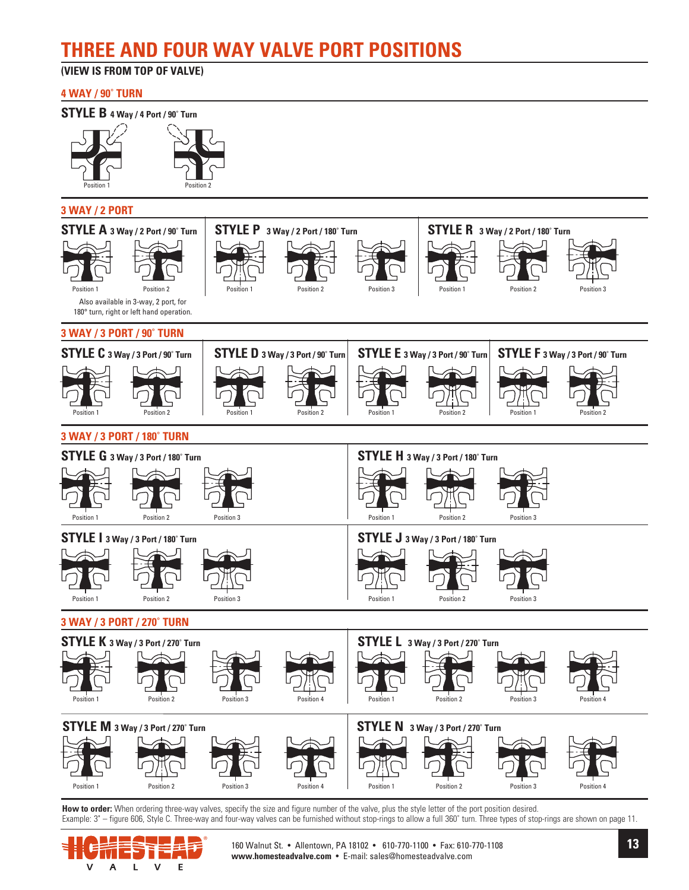## **THREE AND FOUR WAY VALVE PORT POSITIONS**

#### **(VIEW IS FROM TOP OF VALVE)**

#### **4 WAY / 90˚ TURN**

#### **STYLE B 4 Way / 4 Port / 90˚ Turn**





#### **3 WAY / 2 PORT**



How to order: When ordering three-way valves, specify the size and figure number of the valve, plus the style letter of the port position desired. Example: 3" - figure 606, Style C. Three-way and four-way valves can be furnished without stop-rings to allow a full 360° turn. Three types of stop-rings are shown on page 11.



160 Walnut St. • Allentown, PA 18102 • 610-770-1100 • Fax: 610-770-1108 **www.homesteadvalve.com** • E-mail: sales@homesteadvalve.com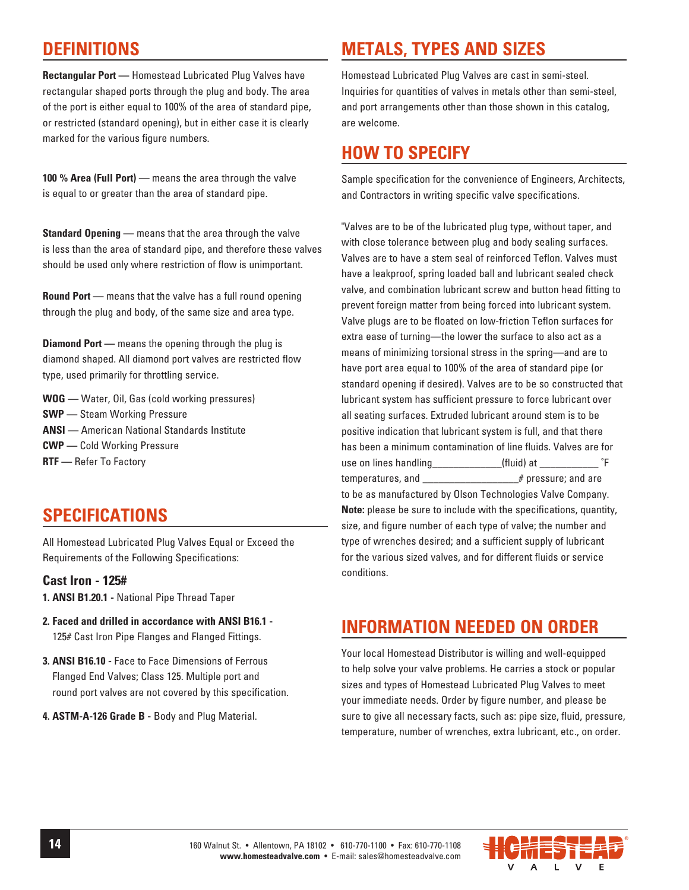#### **DEFINITIONS**

**Rectangular Port —** Homestead Lubricated Plug Valves have rectangular shaped ports through the plug and body. The area of the port is either equal to 100% of the area of standard pipe, or restricted (standard opening), but in either case it is clearly marked for the various figure numbers.

**100 % Area (Full Port) —** means the area through the valve is equal to or greater than the area of standard pipe.

**Standard Opening —** means that the area through the valve is less than the area of standard pipe, and therefore these valves should be used only where restriction of flow is unimportant.

**Round Port —** means that the valve has a full round opening through the plug and body, of the same size and area type.

**Diamond Port —** means the opening through the plug is diamond shaped. All diamond port valves are restricted flow type, used primarily for throttling service.

**WOG —** Water, Oil, Gas (cold working pressures) **SWP —** Steam Working Pressure **ANSI —** American National Standards Institute **CWP —** Cold Working Pressure **RTF —** Refer To Factory

#### **SPECIFICATIONS**

All Homestead Lubricated Plug Valves Equal or Exceed the Requirements of the Following Specifications:

#### **Cast Iron - 125#**

**1. ANSI B1.20.1 -** National Pipe Thread Taper

- **2. Faced and drilled in accordance with ANSI B16.1 -** 125# Cast Iron Pipe Flanges and Flanged Fittings.
- **3. ANSI B16.10 -** Face to Face Dimensions of Ferrous Flanged End Valves; Class 125. Multiple port and round port valves are not covered by this specification.
- **4. ASTM-A-126 Grade B -** Body and Plug Material.

### **METALS, TYPES AND SIZES**

Homestead Lubricated Plug Valves are cast in semi-steel. Inquiries for quantities of valves in metals other than semi-steel, and port arrangements other than those shown in this catalog, are welcome.

#### **HOW TO SPECIFY**

Sample specification for the convenience of Engineers, Architects, and Contractors in writing specific valve specifications.

"Valves are to be of the lubricated plug type, without taper, and with close tolerance between plug and body sealing surfaces. Valves are to have a stem seal of reinforced Teflon. Valves must have a leakproof, spring loaded ball and lubricant sealed check valve, and combination lubricant screw and button head fitting to prevent foreign matter from being forced into lubricant system. Valve plugs are to be floated on low-friction Teflon surfaces for extra ease of turning—the lower the surface to also act as a means of minimizing torsional stress in the spring—and are to have port area equal to 100% of the area of standard pipe (or standard opening if desired). Valves are to be so constructed that lubricant system has sufficient pressure to force lubricant over all seating surfaces. Extruded lubricant around stem is to be positive indication that lubricant system is full, and that there has been a minimum contamination of line fluids. Valves are for use on lines handling example and the set of the set of the set of the set of  $\mathsf{F}$ temperatures, and \_\_\_\_\_\_\_\_\_\_\_\_\_\_\_\_\_\_\_\_\_\_# pressure; and are to be as manufactured by Olson Technologies Valve Company. **Note:** please be sure to include with the specifications, quantity, size, and figure number of each type of valve; the number and type of wrenches desired; and a sufficient supply of lubricant for the various sized valves, and for different fluids or service conditions.

#### **INFORMATION NEEDED ON ORDER**

Your local Homestead Distributor is willing and well-equipped to help solve your valve problems. He carries a stock or popular sizes and types of Homestead Lubricated Plug Valves to meet your immediate needs. Order by figure number, and please be sure to give all necessary facts, such as: pipe size, fluid, pressure, temperature, number of wrenches, extra lubricant, etc., on order.

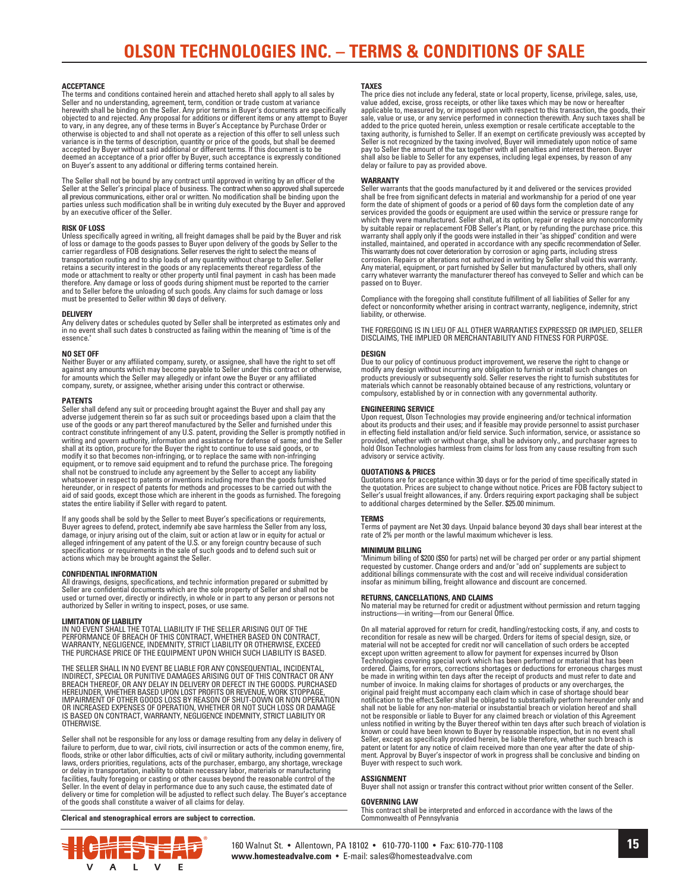#### **ACCEPTANCE**

The terms and conditions contained herein and attached hereto shall apply to all sales by Seller and no understanding, agreement, term, condition or trade custom at variance<br>herewith shall be binding on the Seller. Any prior terms in Buyer's documents are specifically<br>objected to and rejected. Any proposal for to vary, in any degree, any of these terms in Buyer's Acceptance by Purchase Order or otherwise is objected to and shall not operate as a rejection of this offer to sell unless such variance is in the terms of description, quantity or price of the goods, but shall be deemed<br>accepted by Buyer without said additional or different terms. If this document is to be<br>deemed an acceptance of a prior offer by on Buyer's assent to any additional or differing terms contained herein.

The Seller shall not be bound by any contract until approved in writing by an officer of the Seller at the Seller's principal place of business. The contract when so approved shall supercede all previous communications, ei

#### **RISK OF LOSS**

Unless specifically agreed in writing, all freight damages shall be paid by the Buyer and risk<br>of loss or damage to the goods passes to Buyer upon delivery of the goods by Seller to the<br>carrier regardless of FOB designatio

#### **DELIVERY**

Any delivery dates or schedules quoted by Seller shall be interpreted as estimates only and in no event shall such dates b constructed as failing within the meaning of "time is of the essence.

#### **NO SET OFF**

Neither Buyer or any affiliated company, surety, or assignee, shall have the right to set off<br>against any amounts which may become payable to Seller under this contract or otherwise,<br>for amounts which the Seller may allege company, surety, or assignee, whether arising under this contract or otherwise.

#### **PATENTS**

Seller shall defend any suit or proceeding brought against the Buyer and shall pay any<br>adverse judgement therein so far as such suit or proceedings based upon a claim that the<br>use of the goods or any part thereof manufactu contract constitute infringement of any U.S. patent, providing the Seller is promptly notified in writing and govern authority, information and assistance for defense of same; and the Seller shall at its option, procure for the Buyer the right to continue to use said goods, or to modify it so that becomes non-infringing, or to replace the same with non-infringing equipment, or to remove said equipment and to refund the purchase price. The foregoing shall not be construed to include any agreement by the Seller to accept any liability whatsoever in respect to patents or inventions including more than the goods furnished hereunder, or in respect of patents for methods and processes to be carried out with the aid of said goods, except those which are inherent in the goods as furnished. The foregoing states the entire liability if Seller with regard to patent.

If any goods shall be sold by the Seller to meet Buyer's specifications or requirements, Buyer agrees to defend, protect, indemnify abe save harmless the Seller from any loss,<br>damage, or injury arising out of the claim, suit or action at law or in equity for actual or<br>alleged infringement of any patent of the specifications or requirements in the sale of such goods and to defend such suit or actions which may be brought against the Seller.

#### **CONFIDENTIAL INFORMATION**

All drawings, designs, specifications, and technic information prepared or submitted by Seller are confidential documents which are the sole property of Seller and shall not be used or turned over, directly or indirectly, in whole or in part to any person or persons not authorized by Seller in writing to inspect, poses, or use same.

**LIMITATION OF LIABILITY**<br>IN NO EVENT SHALL THE TOTAL LIABILITY IF THE SELLER ARISING OUT OF THE<br>PERFORMANCE OF BREACH OF THIS CONTRACT, WHETHER BASED ON CONTRACT,<br>WARRANTY, NEGLIGENCE, INDEMNITY, STRICT LIABILITY OR OTHER THE PURCHASE PRICE OF THE EQUIPMENT UPON WHICH SUCH LIABILITY IS BASED.

THE SELLER SHALL IN NO EVENT BE LIABLE FOR ANY CONSEQUENTIAL, INCIDENTAL,<br>INDIRECT, SPECIAL OR PUNITIVE DAMAGES ARISING OUT OF THIS CONTRACT OR ANY<br>BREACH THEREOF, OR ANY DELAY IN DELIVERY OR DEFECT IN THE GOODS. PURCHASED **OTHERWISE** 

Seller shall not be responsible for any loss or damage resulting from any delay in delivery of<br>failure to perform, due to war, civil riots, civil insurrection or acts of the common enemy, fire,<br>filoods, strike or other lab

#### **Clerical and stenographical errors are subject to correction.**

#### **TAXES**

The price dies not include any federal, state or local property, license, privilege, sales, use, value added, excise, gross receipts, or other like taxes which may be now or hereafter applicable to, measured by, or imposed upon with respect to this transaction, the goods, their sale, value or use, or any service performed in connection therewith. Any such taxes shall be added to the price quoted herein, unless exemption or resale certificate acceptable to the taxing authority, is furnished to Seller. If an exempt on certificate previously was accepted by Seller is not recognized by the taxing involved, Buyer will immediately upon notice of same pay to Seller the amount of the tax together with all penalties and interest thereon. Buyer shall also be liable to Seller for any expenses, including legal expenses, by reason of any delay or failure to pay as provided above.

#### **WARRANTY**

Seller warrants that the goods manufactured by it and delivered or the services provided<br>shall be free from significant defects in material and workmanship for a period of one year<br>form the date of shipment of goods or a p services provided the goods or equipment are used within the service or pressure range for which they were manufactured. Seller shall, at its option, repair or replace any nonconformity by suitable repair or replacement FOB Seller's Plant, or by refunding the purchase price. this<br>warranty shall apply only if the goods were installed in their "as shipped" condition and were<br>installed, maintained, and opera This warranty does not cover deterioration by corrosion or aging parts, including stress<br>corrosion. Repairs or alterations not authorized in writing by Seller shall void this warranty.<br>Any material, equipment, or part furn

Compliance with the foregoing shall constitute fulfillment of all liabilities of Seller for any defect or nonconformity whether arising in contract warranty, negligence, indemnity, strict liability, or otherwise.

THE FOREGOING IS IN LIEU OF ALL OTHER WARRANTIES EXPRESSED OR IMPLIED, SELLER DISCLAIMS, THE IMPLIED OR MERCHANTABILITY AND FITNESS FOR PURPOSE.

#### **DESIGN**

Due to our policy of continuous product improvement, we reserve the right to change or modify any design without incurring any obligation to furnish or install such changes on products previously or subsequently sold. Seller reserves the right to furnish substitutes for materials which cannot be reasonably obtained because of any restrictions, voluntary or compulsory, established by or in connection with any governmental authority.

#### **ENGINEERING SERVICE**

Upon request, Olson Technologies may provide engineering and/or technical information about its products and their uses; and if feasible may provide personnel to assist purchaser in effecting field installation and/or field service. Such information, service, or assistance so provided, whether with or without charge, shall be advisory only., and purchaser agrees to hold Olson Technologies harmless from claims for loss from any cause resulting from such advisory or service activity.

#### **QUOTATIONS & PRICES**

Quotations are for acceptance within 30 days or for the period of time specifically stated in<br>the quotation. Prices are subject to change without notice. Prices are FOB factory subject to<br>Seller's usual freight allowances, to additional charges determined by the Seller. \$25.00 minimum.

**TERMS**<br>Terms of payment are Net 30 days. Unpaid balance beyond 30 days shall bear interest at the<br>rate of 2% per month or the lawful maximum whichever is less.

#### **MINIMUM BILLING**

"Minimum billing of \$200 (\$50 for parts) net will be charged per order or any partial shipment requested by customer. Change orders and and/or "add on" supplements are subject to additional billings commensurate with the cost and will receive individual consideration insofar as minimum billing, freight allowance and discount are concerned.

**RETURNS, CANCELLATIONS, AND CLAIMS**<br>No material may be returned for credit or adjustment without permission and return tagging instructions—in writing—from our General Office.

On all material approved for return for credit, handling/restocking costs, if any, and costs to<br>recondition for resale as new will be charged. Orders for items of special design, size, or<br>material will not be accepted for ordered. Claims, for errors, corrections shortages or deductions for erroneous charges must be made in writing within ten days after the receipt of products and must refer to date and number of invoice. In making claims for shortages of products or any overcharges, the<br>original paid freight must accompany each claim which in case of shortage should bear<br>notification to the effect.Seller shall be obligat shall not be liable for any non-material or insubstantial breach or violation hereof and shall<br>not be responsible or liable to Buyer for any claimed breach or violation of this Agreement<br>unless notified in writing by the B patent or latent for any notice of claim received more than one year after the date of ship-ment. Approval by Buyer's inspector of work in progress shall be conclusive and binding on Buyer with respect to such work.

#### **ASSIGNMENT**

Buyer shall not assign or transfer this contract without prior written consent of the Seller.

#### **GOVERNING LAW**

This contract shall be interpreted and enforced in accordance with the laws of the Commonwealth of Pennsylvania



160 Walnut St. • Allentown, PA 18102 • 610-770-1100 • Fax: 610-770-1108 **www.homesteadvalve.com** • E-mail: sales@homesteadvalve.com